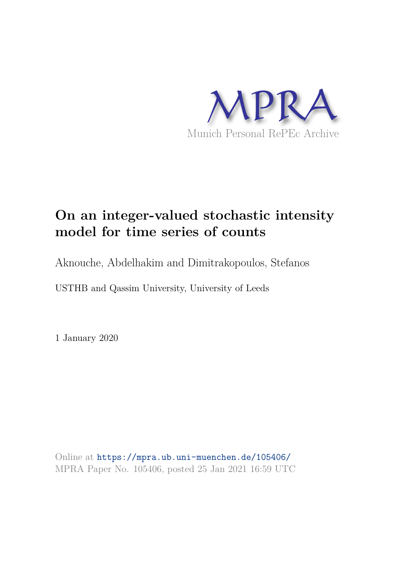

# **On an integer-valued stochastic intensity model for time series of counts**

Aknouche, Abdelhakim and Dimitrakopoulos, Stefanos

USTHB and Qassim University, University of Leeds

1 January 2020

Online at https://mpra.ub.uni-muenchen.de/105406/ MPRA Paper No. 105406, posted 25 Jan 2021 16:59 UTC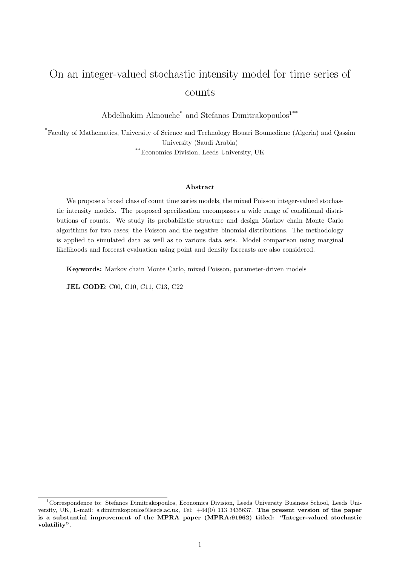# On an integer-valued stochastic intensity model for time series of counts

Abdelhakim Aknouche<sup>\*</sup> and Stefanos Dimitrakopoulos<sup>1\*\*</sup>

\*Faculty of Mathematics, University of Science and Technology Houari Boumediene (Algeria) and Qassim University (Saudi Arabia) \*\*Economics Division, Leeds University, UK

#### Abstract

We propose a broad class of count time series models, the mixed Poisson integer-valued stochastic intensity models. The proposed specification encompasses a wide range of conditional distributions of counts. We study its probabilistic structure and design Markov chain Monte Carlo algorithms for two cases; the Poisson and the negative binomial distributions. The methodology is applied to simulated data as well as to various data sets. Model comparison using marginal likelihoods and forecast evaluation using point and density forecasts are also considered.

Keywords: Markov chain Monte Carlo, mixed Poisson, parameter-driven models

JEL CODE: C00, C10, C11, C13, C22

<sup>&</sup>lt;sup>1</sup>Correspondence to: Stefanos Dimitrakopoulos, Economics Division, Leeds University Business School, Leeds University, UK, E-mail: s.dimitrakopoulos@leeds.ac.uk, Tel: +44(0) 113 3435637. The present version of the paper is a substantial improvement of the MPRA paper (MPRA:91962) titled: "Integer-valued stochastic volatility".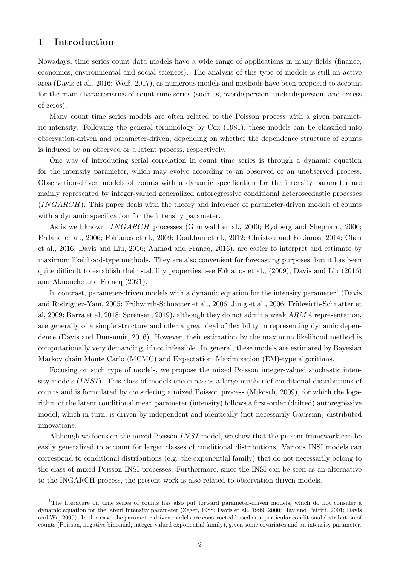# 1 Introduction

Nowadays, time series count data models have a wide range of applications in many fields (finance, economics, environmental and social sciences). The analysis of this type of models is still an active area (Davis et al., 2016; Weiß, 2017), as numerous models and methods have been proposed to account for the main characteristics of count time series (such as, overdispersion, underdispersion, and excess of zeros).

Many count time series models are often related to the Poisson process with a given parametric intensity. Following the general terminology by Cox (1981), these models can be classified into observation-driven and parameter-driven, depending on whether the dependence structure of counts is induced by an observed or a latent process, respectively.

One way of introducing serial correlation in count time series is through a dynamic equation for the intensity parameter, which may evolve according to an observed or an unobserved process. Observation-driven models of counts with a dynamic specification for the intensity parameter are mainly represented by integer-valued generalized autoregressive conditional heteroscedastic processes (INGARCH). This paper deals with the theory and inference of parameter-driven models of counts with a dynamic specification for the intensity parameter.

As is well known, INGARCH processes (Grunwald et al., 2000; Rydberg and Shephard, 2000; Ferland et al., 2006; Fokianos et al., 2009; Doukhan et al., 2012; Christou and Fokianos, 2014; Chen et al., 2016; Davis and Liu, 2016; Ahmad and Francq, 2016), are easier to interpret and estimate by maximum likelihood-type methods. They are also convenient for forecasting purposes, but it has been quite difficult to establish their stability properties; see Fokianos et al., (2009), Davis and Liu (2016) and Aknouche and Francq (2021).

In contrast, parameter-driven models with a dynamic equation for the intensity parameter<sup>1</sup> (Davis and Rodriguez-Yam, 2005; Frühwirth-Schnatter et al., 2006; Jung et al., 2006; Frühwirth-Schnatter et al, 2009; Barra et al, 2018; Sørensen, 2019), although they do not admit a weak ARMA representation, are generally of a simple structure and offer a great deal of flexibility in representing dynamic dependence (Davis and Dunsmuir, 2016). However, their estimation by the maximum likelihood method is computationally very demanding, if not infeasible. In general, these models are estimated by Bayesian Markov chain Monte Carlo (MCMC) and Expectation–Maximization (EM)-type algorithms.

Focusing on such type of models, we propose the mixed Poisson integer-valued stochastic intensity models (INSI). This class of models encompasses a large number of conditional distributions of counts and is formulated by considering a mixed Poisson process (Mikosch, 2009), for which the logarithm of the latent conditional mean parameter (intensity) follows a first-order (drifted) autoregressive model, which in turn, is driven by independent and identically (not necessarily Gaussian) distributed innovations.

Although we focus on the mixed Poisson INSI model, we show that the present framework can be easily generalized to account for larger classes of conditional distributions. Various INSI models can correspond to conditional distributions (e.g. the exponential family) that do not necessarily belong to the class of mixed Poisson INSI processes. Furthermore, since the INSI can be seen as an alternative to the INGARCH process, the present work is also related to observation-driven models.

<sup>1</sup>The literature on time series of counts has also put forward parameter-driven models, which do not consider a dynamic equation for the latent intensity parameter (Zeger, 1988; Davis et al., 1999, 2000; Hay and Pettitt, 2001; Davis and Wu, 2009). In this case, the parameter-driven models are constructed based on a particular conditional distribution of counts (Poisson, negative binomial, integer-valued exponential family), given some covariates and an intensity parameter.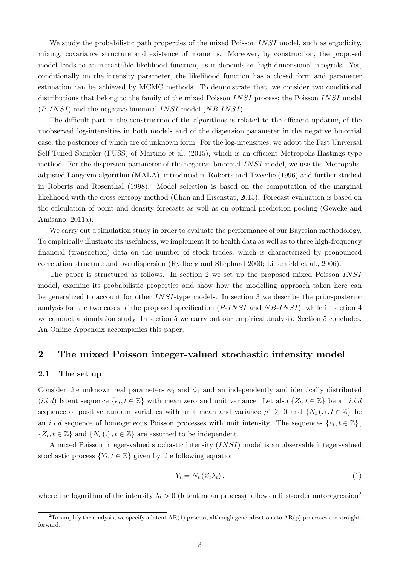We study the probabilistic path properties of the mixed Poisson  $INSI$  model, such as ergodicity, mixing, covariance structure and existence of moments. Moreover, by construction, the proposed model leads to an intractable likelihood function, as it depends on high-dimensional integrals. Yet, conditionally on the intensity parameter, the likelihood function has a closed form and parameter estimation can be achieved by MCMC methods. To demonstrate that, we consider two conditional distributions that belong to the family of the mixed Poisson INSI process; the Poisson INSI model  $(P{\text -}INSI)$  and the negative binomial  $INSI$  model  $(NB{\text -}INSI)$ .

The difficult part in the construction of the algorithms is related to the efficient updating of the unobserved log-intensities in both models and of the dispersion parameter in the negative binomial case, the posteriors of which are of unknown form. For the log-intensities, we adopt the Fast Universal Self-Tuned Sampler (FUSS) of Martino et al, (2015), which is an efficient Metropolis-Hastings type method. For the dispersion parameter of the negative binomial INSI model, we use the Metropolisadjusted Langevin algorithm (MALA), introduced in Roberts and Tweedie (1996) and further studied in Roberts and Rosenthal (1998). Model selection is based on the computation of the marginal likelihood with the cross entropy method (Chan and Eisenstat, 2015). Forecast evaluation is based on the calculation of point and density forecasts as well as on optimal prediction pooling (Geweke and Amisano, 2011a).

We carry out a simulation study in order to evaluate the performance of our Bayesian methodology. To empirically illustrate its usefulness, we implement it to health data as well as to three high-frequency financial (transaction) data on the number of stock trades, which is characterized by pronounced correlation structure and overdispersion (Rydberg and Shephard 2000; Liesenfeld et al., 2006).

The paper is structured as follows. In section 2 we set up the proposed mixed Poisson INSI model, examine its probabilistic properties and show how the modelling approach taken here can be generalized to account for other INSI-type models. In section 3 we describe the prior-posterior analysis for the two cases of the proposed specification  $(P{\text -}INSI)$  and  $NB{\text -}INSI)$ , while in section 4 we conduct a simulation study. In section 5 we carry out our empirical analysis. Section 5 concludes. An Online Appendix accompanies this paper.

## 2 The mixed Poisson integer-valued stochastic intensity model

#### 2.1 The set up

Consider the unknown real parameters  $\phi_0$  and  $\phi_1$  and an independently and identically distributed  $(i.i.d)$  latent sequence  $\{e_t, t \in \mathbb{Z}\}\)$  with mean zero and unit variance. Let also  $\{Z_t, t \in \mathbb{Z}\}\)$  be an  $i.i.d$ sequence of positive random variables with unit mean and variance  $\rho^2 \geq 0$  and  $\{N_t(.) , t \in \mathbb{Z}\}\)$ an *i.i.d* sequence of homogeneous Poisson processes with unit intensity. The sequences  $\{e_t, t \in \mathbb{Z}\}\,$ ,  $\{Z_t, t \in \mathbb{Z}\}\$  and  $\{N_t(.)\}, t \in \mathbb{Z}\}$  are assumed to be independent.

A mixed Poisson integer-valued stochastic intensity (INSI) model is an observable integer-valued stochastic process  $\{Y_t, t \in \mathbb{Z}\}\$  given by the following equation

$$
Y_t = N_t \left( Z_t \lambda_t \right), \tag{1}
$$

where the logarithm of the intensity  $\lambda_t > 0$  (latent mean process) follows a first-order autoregression<sup>2</sup>

<sup>&</sup>lt;sup>2</sup>To simplify the analysis, we specify a latent AR(1) process, although generalizations to AR(p) processes are straightforward.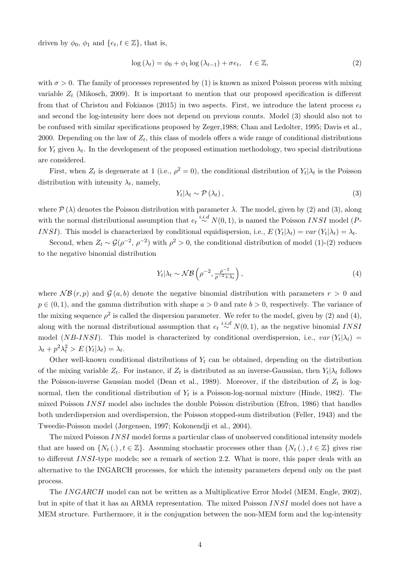driven by  $\phi_0$ ,  $\phi_1$  and  $\{e_t, t \in \mathbb{Z}\}\,$ , that is,

$$
\log(\lambda_t) = \phi_0 + \phi_1 \log(\lambda_{t-1}) + \sigma e_t, \quad t \in \mathbb{Z},
$$
\n(2)

with  $\sigma > 0$ . The family of processes represented by (1) is known as mixed Poisson process with mixing variable  $Z_t$  (Mikosch, 2009). It is important to mention that our proposed specification is different from that of Christou and Fokianos (2015) in two aspects. First, we introduce the latent process  $e_t$ and second the log-intensity here does not depend on previous counts. Model (3) should also not to be confused with similar specifications proposed by Zeger,1988; Chan and Ledolter, 1995; Davis et al., 2000. Depending on the law of  $Z_t$ , this class of models offers a wide range of conditional distributions for  $Y_t$  given  $\lambda_t$ . In the development of the proposed estimation methodology, two special distributions are considered.

First, when  $Z_t$  is degenerate at 1 (i.e.,  $\rho^2 = 0$ ), the conditional distribution of  $Y_t | \lambda_t$  is the Poisson distribution with intensity  $\lambda_t$ , namely,

$$
Y_t | \lambda_t \sim \mathcal{P}(\lambda_t), \qquad (3)
$$

where  $\mathcal{P}(\lambda)$  denotes the Poisson distribution with parameter  $\lambda$ . The model, given by (2) and (3), along with the normal distributional assumption that  $e_t \stackrel{i.i.d}{\sim} N(0, 1)$ , is named the Poisson INSI model (P-INSI). This model is characterized by conditional equidispersion, i.e.,  $E(Y_t|\lambda_t) = var(Y_t|\lambda_t) = \lambda_t$ .

Second, when  $Z_t \sim \mathcal{G}(\rho^{-2}, \rho^{-2})$  with  $\rho^2 > 0$ , the conditional distribution of model (1)-(2) reduces to the negative binomial distribution

$$
Y_t | \lambda_t \sim \mathcal{NB}\left(\rho^{-2}, \frac{\rho^{-2}}{\rho^{-2} + \lambda_t}\right),\tag{4}
$$

where  $\mathcal{NB}(r, p)$  and  $\mathcal{G}(a, b)$  denote the negative binomial distribution with parameters  $r > 0$  and  $p \in (0, 1)$ , and the gamma distribution with shape  $a > 0$  and rate  $b > 0$ , respectively. The variance of the mixing sequence  $\rho^2$  is called the dispersion parameter. We refer to the model, given by (2) and (4), along with the normal distributional assumption that  $e_t \stackrel{i.i.d}{\sim} N(0, 1)$ , as the negative binomial INSI model (*NB-INSI*). This model is characterized by conditional overdispersion, i.e.,  $var(Y_t|\lambda_t)$  =  $\lambda_t + p^2 \lambda_t^2 > E(Y_t | \lambda_t) = \lambda_t.$ 

Other well-known conditional distributions of  $Y_t$  can be obtained, depending on the distribution of the mixing variable  $Z_t$ . For instance, if  $Z_t$  is distributed as an inverse-Gaussian, then  $Y_t | \lambda_t$  follows the Poisson-inverse Gaussian model (Dean et al., 1989). Moreover, if the distribution of  $Z_t$  is lognormal, then the conditional distribution of  $Y_t$  is a Poisson-log-normal mixture (Hinde, 1982). The mixed Poisson INSI model also includes the double Poisson distribution (Efron, 1986) that handles both underdispersion and overdispersion, the Poisson stopped-sum distribution (Feller, 1943) and the Tweedie-Poisson model (Jørgensen, 1997; Kokonendji et al., 2004).

The mixed Poisson INSI model forms a particular class of unobserved conditional intensity models that are based on  $\{N_t(.)$ ,  $t \in \mathbb{Z}\}$ . Assuming stochastic processes other than  $\{N_t(.)$ ,  $t \in \mathbb{Z}\}$  gives rise to different INSI-type models; see a remark of section 2.2. What is more, this paper deals with an alternative to the INGARCH processes, for which the intensity parameters depend only on the past process.

The INGARCH model can not be written as a Multiplicative Error Model (MEM, Engle, 2002), but in spite of that it has an ARMA representation. The mixed Poisson INSI model does not have a MEM structure. Furthermore, it is the conjugation between the non-MEM form and the log-intensity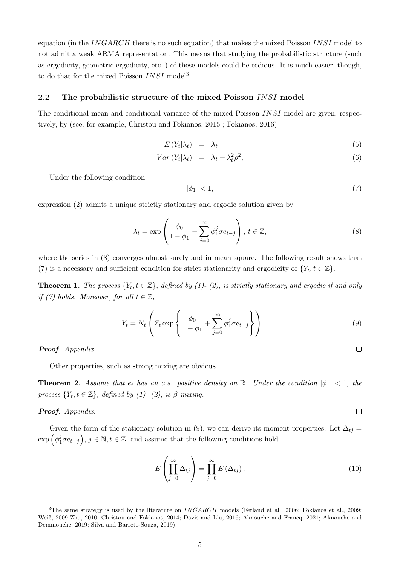equation (in the INGARCH there is no such equation) that makes the mixed Poisson INSI model to not admit a weak ARMA representation. This means that studying the probabilistic structure (such as ergodicity, geometric ergodicity, etc.,) of these models could be tedious. It is much easier, though, to do that for the mixed Poisson  $INSI$  model<sup>3</sup>.

#### 2.2 The probabilistic structure of the mixed Poisson INSI model

The conditional mean and conditional variance of the mixed Poisson INSI model are given, respectively, by (see, for example, Christou and Fokianos, 2015 ; Fokianos, 2016)

$$
E(Y_t|\lambda_t) = \lambda_t \tag{5}
$$

$$
Var(Y_t|\lambda_t) = \lambda_t + \lambda_t^2 \rho^2, \tag{6}
$$

Under the following condition

$$
|\phi_1| < 1,\tag{7}
$$

expression (2) admits a unique strictly stationary and ergodic solution given by

$$
\lambda_t = \exp\left(\frac{\phi_0}{1 - \phi_1} + \sum_{j=0}^{\infty} \phi_1^j \sigma e_{t-j}\right), \ t \in \mathbb{Z},
$$
\n(8)

where the series in (8) converges almost surely and in mean square. The following result shows that (7) is a necessary and sufficient condition for strict stationarity and ergodicity of  $\{Y_t, t \in \mathbb{Z}\}.$ 

**Theorem 1.** The process  $\{Y_t, t \in \mathbb{Z}\}$ , defined by (1)-(2), is strictly stationary and ergodic if and only *if* (7) holds. Moreover, for all  $t \in \mathbb{Z}$ ,

$$
Y_t = N_t \left( Z_t \exp \left\{ \frac{\phi_0}{1 - \phi_1} + \sum_{j=0}^{\infty} \phi_1^j \sigma e_{t-j} \right\} \right). \tag{9}
$$

Proof*. Appendix*.

Other properties, such as strong mixing are obvious.

**Theorem 2.** Assume that  $e_t$  has an a.s. positive density on R. Under the condition  $|\phi_1| < 1$ , the *process*  ${Y_t, t \in \mathbb{Z}}$ *, defined by (1)- (2), is β-mixing.* 

#### Proof*. Appendix*.

Given the form of the stationary solution in (9), we can derive its moment properties. Let  $\Delta_{tj} =$  $\exp\left(\phi_1^j\right)$  $(\overline{e}_1^j \sigma e_{t-j}), j \in \mathbb{N}, t \in \mathbb{Z}$ , and assume that the following conditions hold

$$
E\left(\prod_{j=0}^{\infty} \Delta_{tj}\right) = \prod_{j=0}^{\infty} E\left(\Delta_{tj}\right),\tag{10}
$$

 $\Box$ 

 $\Box$ 

<sup>&</sup>lt;sup>3</sup>The same strategy is used by the literature on  $INGARCH$  models (Ferland et al., 2006; Fokianos et al., 2009; Weiß, 2009 Zhu, 2010; Christou and Fokianos, 2014; Davis and Liu, 2016; Aknouche and Francq, 2021; Aknouche and Demmouche, 2019; Silva and Barreto-Souza, 2019).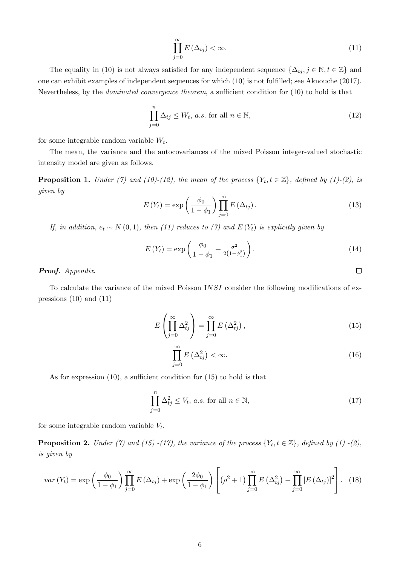$$
\prod_{j=0}^{\infty} E\left(\Delta_{tj}\right) < \infty. \tag{11}
$$

The equality in (10) is not always satisfied for any independent sequence  $\{\Delta_{tj}, j \in \mathbb{N}, t \in \mathbb{Z}\}\$  and one can exhibit examples of independent sequences for which (10) is not fulfilled; see Aknouche (2017). Nevertheless, by the *dominated convergence theorem*, a sufficient condition for (10) to hold is that

$$
\prod_{j=0}^{n} \Delta_{tj} \le W_t, \, a.s. \text{ for all } n \in \mathbb{N},\tag{12}
$$

for some integrable random variable  $W_t$ .

The mean, the variance and the autocovariances of the mixed Poisson integer-valued stochastic intensity model are given as follows.

**Proposition 1.** *Under* (7) and (10)-(12), the mean of the process  $\{Y_t, t \in \mathbb{Z}\}$ , defined by (1)-(2), is *given by*

$$
E(Y_t) = \exp\left(\frac{\phi_0}{1 - \phi_1}\right) \prod_{j=0}^{\infty} E\left(\Delta_{tj}\right). \tag{13}
$$

*If, in addition,*  $e_t \sim N(0, 1)$ *, then (11) reduces to (7) and*  $E(Y_t)$  *is explicitly given by* 

$$
E(Y_t) = \exp\left(\frac{\phi_0}{1 - \phi_1} + \frac{\sigma^2}{2(1 - \phi_1^2)}\right).
$$
 (14)

 $\Box$ 

Proof*. Appendix*.

To calculate the variance of the mixed Poisson INSI consider the following modifications of expressions (10) and (11)

$$
E\left(\prod_{j=0}^{\infty} \Delta_{tj}^{2}\right) = \prod_{j=0}^{\infty} E\left(\Delta_{tj}^{2}\right),\tag{15}
$$

$$
\prod_{j=0}^{\infty} E\left(\Delta_{tj}^2\right) < \infty. \tag{16}
$$

As for expression (10), a sufficient condition for (15) to hold is that

$$
\prod_{j=0}^{n} \Delta_{tj}^{2} \le V_{t}, \, a.s. \text{ for all } n \in \mathbb{N},\tag{17}
$$

for some integrable random variable  $V_t$ .

**Proposition 2.** *Under* (7) and (15) -(17), the variance of the process  $\{Y_t, t \in \mathbb{Z}\}$ , defined by (1) -(2), *is given by*

$$
var\left(Y_{t}\right) = \exp\left(\frac{\phi_{0}}{1-\phi_{1}}\right) \prod_{j=0}^{\infty} E\left(\Delta_{tj}\right) + \exp\left(\frac{2\phi_{0}}{1-\phi_{1}}\right) \left[ \left(\rho^{2}+1\right) \prod_{j=0}^{\infty} E\left(\Delta_{tj}^{2}\right) - \prod_{j=0}^{\infty} \left[E\left(\Delta_{tj}\right)\right]^{2} \right].
$$
 (18)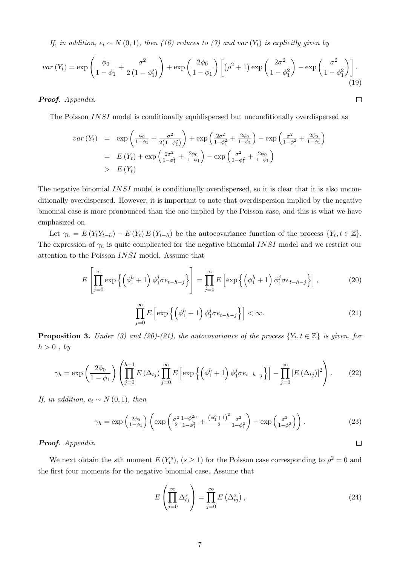*If, in addition,*  $e_t \sim N(0, 1)$ *, then (16) reduces to (7) and var (Y<sub>t</sub>) is explicitly given by* 

$$
var(Y_t) = \exp\left(\frac{\phi_0}{1-\phi_1} + \frac{\sigma^2}{2\left(1-\phi_1^2\right)}\right) + \exp\left(\frac{2\phi_0}{1-\phi_1}\right) \left[\left(\rho^2 + 1\right)\exp\left(\frac{2\sigma^2}{1-\phi_1^2}\right) - \exp\left(\frac{\sigma^2}{1-\phi_1^2}\right)\right].
$$
\n(19)

Proof*. Appendix*.

The Poisson INSI model is conditionally equidispersed but unconditionally overdispersed as

$$
var(Y_t) = \exp\left(\frac{\phi_0}{1-\phi_1} + \frac{\sigma^2}{2(1-\phi_1^2)}\right) + \exp\left(\frac{2\sigma^2}{1-\phi_1^2} + \frac{2\phi_0}{1-\phi_1}\right) - \exp\left(\frac{\sigma^2}{1-\phi_1^2} + \frac{2\phi_0}{1-\phi_1}\right)
$$
  
=  $E(Y_t) + \exp\left(\frac{2\sigma^2}{1-\phi_1^2} + \frac{2\phi_0}{1-\phi_1}\right) - \exp\left(\frac{\sigma^2}{1-\phi_1^2} + \frac{2\phi_0}{1-\phi_1}\right)$   
>  $E(Y_t)$ 

The negative binomial INSI model is conditionally overdispersed, so it is clear that it is also unconditionally overdispersed. However, it is important to note that overdispersion implied by the negative binomial case is more pronounced than the one implied by the Poisson case, and this is what we have emphasized on.

Let  $\gamma_h = E(Y_t Y_{t-h}) - E(Y_t) E(Y_{t-h})$  be the autocovariance function of the process  $\{Y_t, t \in \mathbb{Z}\}.$ The expression of  $\gamma_h$  is quite complicated for the negative binomial INSI model and we restrict our attention to the Poisson INSI model. Assume that

$$
E\left[\prod_{j=0}^{\infty} \exp\left\{ \left(\phi_1^h + 1\right) \phi_1^j \sigma e_{t-h-j} \right\} \right] = \prod_{j=0}^{\infty} E\left[\exp\left\{ \left(\phi_1^h + 1\right) \phi_1^j \sigma e_{t-h-j} \right\} \right],\tag{20}
$$

$$
\prod_{j=0}^{\infty} E\left[\exp\left\{\left(\phi_1^h+1\right)\phi_1^j \sigma e_{t-h-j}\right\}\right] < \infty. \tag{21}
$$

 $\Box$ 

 $\Box$ 

**Proposition 3.** *Under* (3) and (20)-(21), the autocovariance of the process  $\{Y_t, t \in \mathbb{Z}\}\$ is given, for  $h > 0$ , by

$$
\gamma_h = \exp\left(\frac{2\phi_0}{1-\phi_1}\right) \left(\prod_{j=0}^{h-1} E\left(\Delta_{tj}\right) \prod_{j=0}^{\infty} E\left[\exp\left\{\left(\phi_1^h+1\right) \phi_1^j \sigma e_{t-h-j}\right\}\right] - \prod_{j=0}^{\infty} \left[E\left(\Delta_{tj}\right)\right]^2\right).
$$
 (22)

*If, in addition,*  $e_t \sim N(0, 1)$ *, then* 

$$
\gamma_h = \exp\left(\frac{2\phi_0}{1-\phi_1}\right) \left( \exp\left(\frac{\sigma^2}{2} \frac{1-\phi_1^{2h}}{1-\phi_1^2} + \frac{\left(\phi_1^h+1\right)^2}{2} \frac{\sigma^2}{1-\phi_1^2}\right) - \exp\left(\frac{\sigma^2}{1-\phi_1^2}\right) \right). \tag{23}
$$

#### Proof*. Appendix*.

We next obtain the sth moment  $E(Y_t^s)$ ,  $(s \ge 1)$  for the Poisson case corresponding to  $\rho^2 = 0$  and the first four moments for the negative binomial case. Assume that

$$
E\left(\prod_{j=0}^{\infty} \Delta_{tj}^{s}\right) = \prod_{j=0}^{\infty} E\left(\Delta_{tj}^{s}\right),\tag{24}
$$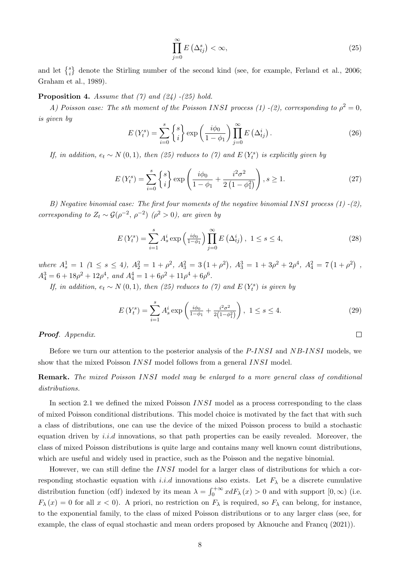$$
\prod_{j=0}^{\infty} E\left(\Delta_{tj}^{s}\right) < \infty,\tag{25}
$$

and let  $\{^{s}_{i}\}$  denote the Stirling number of the second kind (see, for example, Ferland et al., 2006; Graham et al., 1989).

Proposition 4. *Assume that (7) and (24) -(25) hold.*

*A)* Poisson case: The sth moment of the Poisson INSI process (1) -(2), corresponding to  $\rho^2 = 0$ , *is given by*

$$
E(Y_t^s) = \sum_{i=0}^s \begin{Bmatrix} s \\ i \end{Bmatrix} \exp\left(\frac{i\phi_0}{1-\phi_1}\right) \prod_{j=0}^\infty E\left(\Delta_{tj}^i\right). \tag{26}
$$

*If, in addition,*  $e_t \sim N(0, 1)$ *, then* (25) reduces to (7) and  $E(Y_t^s)$  is explicitly given by

$$
E(Y_t^s) = \sum_{i=0}^s \begin{Bmatrix} s \\ i \end{Bmatrix} \exp\left(\frac{i\phi_0}{1-\phi_1} + \frac{i^2\sigma^2}{2\left(1-\phi_1^2\right)}\right), s \ge 1.
$$
 (27)

*B) Negative binomial case: The first four moments of the negative binomial* INSI *process (1) -(2), corresponding to*  $Z_t \sim \mathcal{G}(\rho^{-2}, \rho^{-2})$   $(\rho^2 > 0)$ *, are given by* 

$$
E(Y_t^s) = \sum_{i=1}^s A_s^i \exp\left(\frac{i\phi_0}{1-\phi_1}\right) \prod_{j=0}^\infty E\left(\Delta_{tj}^i\right), \ 1 \le s \le 4,\tag{28}
$$

 $where A_s^1 = 1 \ (1 \le s \le 4), A_2^2 = 1 + \rho^2, A_3^2 = 3(1 + \rho^2), A_3^3 = 1 + 3\rho^2 + 2\rho^4, A_4^2 = 7(1 + \rho^2)$  $A_4^3 = 6 + 18\rho^2 + 12\rho^4$ , and  $A_4^4 = 1 + 6\rho^2 + 11\rho^4 + 6\rho^6$ .

*If, in addition,*  $e_t \sim N(0,1)$ *, then* (25) *reduces to* (7) and  $E(Y_t^s)$  *is given by* 

$$
E(Y_t^s) = \sum_{i=1}^s A_s^i \exp\left(\frac{i\phi_0}{1-\phi_1} + \frac{i^2\sigma^2}{2(1-\phi_1^2)}\right), \ 1 \le s \le 4.
$$
 (29)

 $\Box$ 

Proof*. Appendix*.

Before we turn our attention to the posterior analysis of the P-INSI and NB-INSI models, we show that the mixed Poisson INSI model follows from a general INSI model.

Remark. *The mixed Poisson* INSI *model may be enlarged to a more general class of conditional distributions.*

In section 2.1 we defined the mixed Poisson *INSI* model as a process corresponding to the class of mixed Poisson conditional distributions. This model choice is motivated by the fact that with such a class of distributions, one can use the device of the mixed Poisson process to build a stochastic equation driven by *i.i.d* innovations, so that path properties can be easily revealed. Moreover, the class of mixed Poisson distributions is quite large and contains many well known count distributions, which are useful and widely used in practice, such as the Poisson and the negative binomial.

However, we can still define the INSI model for a larger class of distributions for which a corresponding stochastic equation with i.i.d innovations also exists. Let  $F_{\lambda}$  be a discrete cumulative distribution function (cdf) indexed by its mean  $\lambda = \int_0^{+\infty} x dF_\lambda(x) > 0$  and with support  $[0, \infty)$  (i.e.  $F_{\lambda}(x) = 0$  for all  $x < 0$ ). A priori, no restriction on  $F_{\lambda}$  is required, so  $F_{\lambda}$  can belong, for instance, to the exponential family, to the class of mixed Poisson distributions or to any larger class (see, for example, the class of equal stochastic and mean orders proposed by Aknouche and Francq (2021)).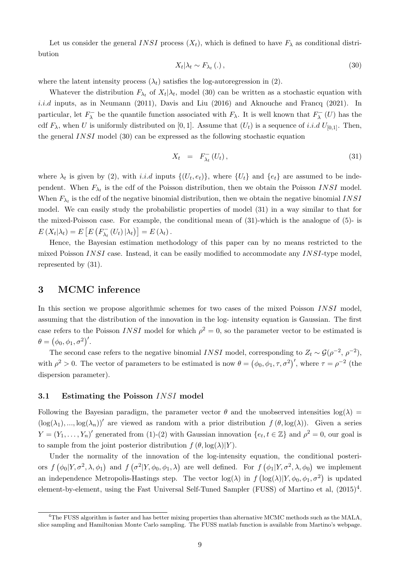Let us consider the general INSI process  $(X_t)$ , which is defined to have  $F_\lambda$  as conditional distribution

$$
X_t | \lambda_t \sim F_{\lambda_t} \left( . \right), \tag{30}
$$

where the latent intensity process  $(\lambda_t)$  satisfies the log-autoregression in (2).

Whatever the distribution  $F_{\lambda_t}$  of  $X_t | \lambda_t$ , model (30) can be written as a stochastic equation with *i.i.d* inputs, as in Neumann (2011), Davis and Liu (2016) and Aknouche and Francq (2021). In particular, let  $F_{\lambda}^-$  be the quantile function associated with  $F_{\lambda}$ . It is well known that  $F_{\lambda}^-(U)$  has the cdf  $F_{\lambda}$ , when U is uniformly distributed on [0, 1]. Assume that  $(U_t)$  is a sequence of i.i.d  $U_{[0,1]}$ . Then, the general INSI model (30) can be expressed as the following stochastic equation

$$
X_t = F_{\lambda_t}^-(U_t), \qquad (31)
$$

where  $\lambda_t$  is given by (2), with *i.i.d* inputs  $\{(U_t, e_t)\}\$ , where  $\{U_t\}$  and  $\{e_t\}$  are assumed to be independent. When  $F_{\lambda_t}$  is the cdf of the Poisson distribution, then we obtain the Poisson INSI model. When  $F_{\lambda_t}$  is the cdf of the negative binomial distribution, then we obtain the negative binomial INSI model. We can easily study the probabilistic properties of model (31) in a way similar to that for the mixed-Poisson case. For example, the conditional mean of (31)-which is the analogue of (5)- is  $E(X_t|\lambda_t) = E\left[E\left(F_{\lambda_t}^-(U_t)|\lambda_t\right)\right] = E(\lambda_t).$ 

Hence, the Bayesian estimation methodology of this paper can by no means restricted to the mixed Poisson  $INSI$  case. Instead, it can be easily modified to accommodate any  $INSI$ -type model. represented by (31).

## 3 MCMC inference

In this section we propose algorithmic schemes for two cases of the mixed Poisson INSI model, assuming that the distribution of the innovation in the log- intensity equation is Gaussian. The first case refers to the Poisson INSI model for which  $\rho^2 = 0$ , so the parameter vector to be estimated is  $\theta = (\phi_0, \phi_1, \sigma^2)'$ .

The second case refers to the negative binomial INSI model, corresponding to  $Z_t \sim \mathcal{G}(\rho^{-2}, \rho^{-2})$ , with  $\rho^2 > 0$ . The vector of parameters to be estimated is now  $\theta = (\phi_0, \phi_1, \tau, \sigma^2)'$ , where  $\tau = \rho^{-2}$  (the dispersion parameter).

#### 3.1 Estimating the Poisson INSI model

Following the Bayesian paradigm, the parameter vector  $\theta$  and the unobserved intensities  $log(\lambda)$  $(\log(\lambda_1), ..., \log(\lambda_n))'$  are viewed as random with a prior distribution  $f(\theta, \log(\lambda))$ . Given a series  $Y = (Y_1, \ldots, Y_n)'$  generated from (1)-(2) with Gaussian innovation  $\{e_t, t \in \mathbb{Z}\}\$  and  $\rho^2 = 0$ , our goal is to sample from the joint posterior distribution  $f(\theta, \log(\lambda)|Y)$ .

Under the normality of the innovation of the log-intensity equation, the conditional posteriors  $f(\phi_0|Y,\sigma^2,\lambda,\phi_1)$  and  $f(\sigma^2|Y,\phi_0,\phi_1,\lambda)$  are well defined. For  $f(\phi_1|Y,\sigma^2,\lambda,\phi_0)$  we implement an independence Metropolis-Hastings step. The vector  $log(\lambda)$  in  $f(log(\lambda)|Y, \phi_0, \phi_1, \sigma^2)$  is updated element-by-element, using the Fast Universal Self-Tuned Sampler (FUSS) of Martino et al,  $(2015)^4$ .

<sup>4</sup>The FUSS algorithm is faster and has better mixing properties than alternative MCMC methods such as the MALA, slice sampling and Hamiltonian Monte Carlo sampling. The FUSS matlab function is available from Martino's webpage.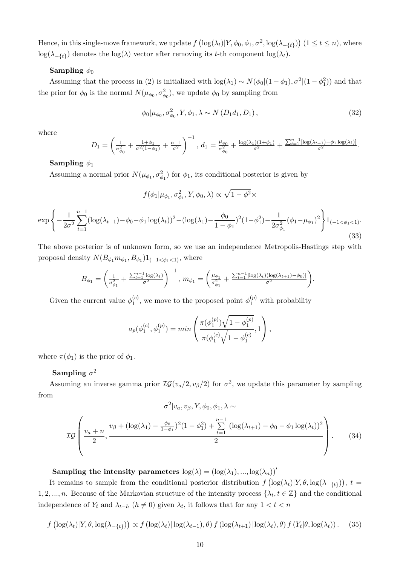Hence, in this single-move framework, we update  $f\left(\log(\lambda_t)|Y, \phi_0, \phi_1, \sigma^2, \log(\lambda_{-\{t\}})\right)$   $(1 \le t \le n)$ , where  $\log(\lambda_{-\{t\}})$  denotes the  $\log(\lambda)$  vector after removing its t-th component  $\log(\lambda_t)$ .

#### Sampling  $\phi_0$

Assuming that the process in (2) is initialized with  $\log(\lambda_1) \sim N(\phi_0|(1-\phi_1), \sigma^2|(1-\phi_1^2))$  and that the prior for  $\phi_0$  is the normal  $N(\mu_{\phi_0}, \sigma_{\phi_0}^2)$ , we update  $\phi_0$  by sampling from

$$
\phi_0|\mu_{\phi_0}, \sigma_{\phi_0}^2, Y, \phi_1, \lambda \sim N(D_1 d_1, D_1), \qquad (32)
$$

where

$$
D_1 = \left(\frac{1}{\sigma_{\phi_0}^2} + \frac{1+\phi_1}{\sigma^2(1-\phi_1)} + \frac{n-1}{\sigma^2}\right)^{-1}, d_1 = \frac{\mu_{\phi_0}}{\sigma_{\phi_0}^2} + \frac{\log(\lambda_1)(1+\phi_1)}{\sigma^2} + \frac{\sum_{t=1}^{n-1}[\log(\lambda_{t+1}) - \phi_1 \log(\lambda_t)]}{\sigma^2}.
$$

#### Sampling  $\phi_1$

Assuming a normal prior  $N(\mu_{\phi_1}, \sigma_{\phi_1}^2)$  for  $\phi_1$ , its conditional posterior is given by

$$
f(\phi_1|\mu_{\phi_1}, \sigma^2_{\phi_1}, Y, \phi_0, \lambda) \propto \sqrt{1 - \phi^2} \times
$$

$$
\exp\left\{-\frac{1}{2\sigma^2}\sum_{t=1}^{n-1}(\log(\lambda_{t+1})-\phi_0-\phi_1\log(\lambda_t))^2-(\log(\lambda_1)-\frac{\phi_0}{1-\phi_1})^2(1-\phi_1^2)-\frac{1}{2\sigma_{\phi_1}^2}(\phi_1-\mu_{\phi_1})^2\right\}1_{(-1<\phi_1<1)}.
$$
\n(33)

The above posterior is of unknown form, so we use an independence Metropolis-Hastings step with proposal density  $N(B_{\phi_1}m_{\phi_1}, B_{\phi_1})1_{(-1<\phi_1<1)}$ , where

$$
B_{\phi_1} = \left(\frac{1}{\sigma_{\phi_1}^2} + \frac{\sum_{t=1}^{n-1} \log(\lambda_t)}{\sigma^2}\right)^{-1}, \ m_{\phi_1} = \left(\frac{\mu_{\phi_1}}{\sigma_{\phi_1}^2} + \frac{\sum_{t=1}^{n-1} [\log(\lambda_t)(\log(\lambda_{t+1}) - \phi_0)]}{\sigma^2}\right).
$$

Given the current value  $\phi_1^{(c)}$  $\mathbf{I}_{1}^{(c)}$ , we move to the proposed point  $\phi_{1}^{(p)}$  with probability

$$
a_p(\phi_1^{(c)},\phi_1^{(p)}) = \min\left(\frac{\pi(\phi_1^{(p)})\sqrt{1-\phi_1^{(p)}}}{\pi(\phi_1^{(c)}\sqrt{1-\phi_1^{(c)}}},1\right),
$$

where  $\pi(\phi_1)$  is the prior of  $\phi_1$ .

## Sampling  $\sigma^2$

Assuming an inverse gamma prior  $IG(v_a/2, v_\beta/2)$  for  $\sigma^2$ , we update this parameter by sampling from

$$
\sigma^{2}|v_{a}, v_{\beta}, Y, \phi_{0}, \phi_{1}, \lambda \sim
$$
  

$$
\mathcal{IG}\left(\frac{v_{a}+n}{2}, \frac{v_{\beta}+(\log(\lambda_{1})-\frac{\phi_{0}}{1-\phi_{1}})^{2}(1-\phi_{1}^{2})+\sum_{t=1}^{n-1}(\log(\lambda_{t+1})-\phi_{0}-\phi_{1}\log(\lambda_{t}))^{2}}{2}\right).
$$
 (34)

Sampling the intensity parameters  $\log(\lambda) = (\log(\lambda_1), ..., \log(\lambda_n))'$ 

It remains to sample from the conditional posterior distribution  $f\left(\log(\lambda_t)|Y,\theta,\log(\lambda_{-\{t\}})\right), t =$ 1, 2, ..., n. Because of the Markovian structure of the intensity process  $\{\lambda_t, t \in \mathbb{Z}\}$  and the conditional independence of  $Y_t$  and  $\lambda_{t-h}$   $(h \neq 0)$  given  $\lambda_t$ , it follows that for any  $1 < t < n$ 

$$
f\left(\log(\lambda_t)|Y,\theta,\log(\lambda_{-\{t\}})\right) \propto f\left(\log(\lambda_t)|\log(\lambda_{t-1}),\theta\right) f\left(\log(\lambda_{t+1})|\log(\lambda_t),\theta\right) f\left(Y_t|\theta,\log(\lambda_t)\right). \tag{35}
$$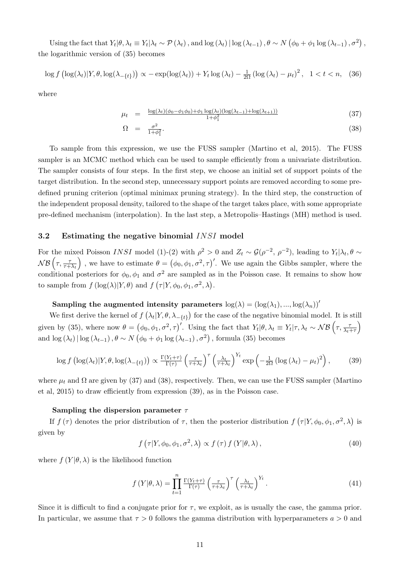Using the fact that  $Y_t | \theta, \lambda_t \equiv Y_t | \lambda_t \sim \mathcal{P}(\lambda_t)$ , and  $\log(\lambda_t) | \log(\lambda_{t-1}), \theta \sim N(\phi_0 + \phi_1 \log(\lambda_{t-1}), \sigma^2)$ , the logarithmic version of (35) becomes

$$
\log f\left(\log(\lambda_t)|Y,\theta,\log(\lambda_{-\{t\}})\right) \propto -\exp(\log(\lambda_t)) + Y_t \log(\lambda_t) - \frac{1}{2\Omega} \left(\log(\lambda_t) - \mu_t\right)^2, \quad 1 < t < n,\tag{36}
$$

where

$$
\mu_t = \frac{\log(\lambda_t)(\phi_0 - \phi_1 \phi_0) + \phi_1 \log(\lambda_t)(\log(\lambda_{t-1}) + \log(\lambda_{t+1}))}{1 + \phi_1^2} \tag{37}
$$

$$
\Omega = \frac{\sigma^2}{1 + \phi_1^2}.\tag{38}
$$

To sample from this expression, we use the FUSS sampler (Martino et al, 2015). The FUSS sampler is an MCMC method which can be used to sample efficiently from a univariate distribution. The sampler consists of four steps. In the first step, we choose an initial set of support points of the target distribution. In the second step, unnecessary support points are removed according to some predefined pruning criterion (optimal minimax pruning strategy). In the third step, the construction of the independent proposal density, tailored to the shape of the target takes place, with some appropriate pre-defined mechanism (interpolation). In the last step, a Metropolis–Hastings (MH) method is used.

#### 3.2 Estimating the negative binomial INSI model

For the mixed Poisson INSI model (1)-(2) with  $\rho^2 > 0$  and  $Z_t \sim \mathcal{G}(\rho^{-2}, \rho^{-2})$ , leading to  $Y_t | \lambda_t, \theta \sim$  $\mathcal{NB}\left(\tau,\frac{\tau}{\tau+\lambda_t}\right)$ ), we have to estimate  $\theta = (\phi_0, \phi_1, \sigma^2, \tau)'$ . We use again the Gibbs sampler, where the conditional posteriors for  $\phi_0, \phi_1$  and  $\sigma^2$  are sampled as in the Poisson case. It remains to show how to sample from  $f\left(\log(\lambda)|Y,\theta\right)$  and  $f\left(\tau|Y,\phi_0,\phi_1,\sigma^2,\lambda\right)$ .

Sampling the augmented intensity parameters  $log(\lambda) = (log(\lambda_1), ..., log(\lambda_n))'$ 

We first derive the kernel of  $f(\lambda_t|Y,\theta,\lambda_{-\{t\}})$  for the case of the negative binomial model. It is still given by (35), where now  $\theta = (\phi_0, \phi_1, \sigma^2, \tau)'$ . Using the fact that  $Y_t | \theta, \lambda_t \equiv Y_t | \tau, \lambda_t \sim \mathcal{NB}(\tau, \frac{\tau}{\lambda_t + \tau})$  $\setminus$ and  $\log(\lambda_t) | \log(\lambda_{t-1}), \theta \sim N(\phi_0 + \phi_1 \log(\lambda_{t-1}), \sigma^2)$ , formula (35) becomes

$$
\log f\left(\log(\lambda_t)|Y,\theta,\log(\lambda_{-\{t\}})\right) \propto \frac{\Gamma(Y_t+\tau)}{\Gamma(\tau)} \left(\frac{\tau}{\tau+\lambda_t}\right)^\tau \left(\frac{\lambda_t}{\tau+\lambda_t}\right)^{Y_t} \exp\left(-\frac{1}{2\Omega}\left(\log\left(\lambda_t\right)-\mu_t\right)^2\right),\tag{39}
$$

where  $\mu_t$  and  $\Omega$  are given by (37) and (38), respectively. Then, we can use the FUSS sampler (Martino et al, 2015) to draw efficiently from expression (39), as in the Poisson case.

#### Sampling the dispersion parameter  $\tau$

If  $f(\tau)$  denotes the prior distribution of  $\tau$ , then the posterior distribution  $f(\tau|Y,\phi_0,\phi_1,\sigma^2,\lambda)$  is given by

$$
f\left(\tau|Y,\phi_0,\phi_1,\sigma^2,\lambda\right) \propto f\left(\tau\right)f\left(Y|\theta,\lambda\right),\tag{40}
$$

where  $f(Y|\theta, \lambda)$  is the likelihood function

$$
f(Y|\theta,\lambda) = \prod_{t=1}^{n} \frac{\Gamma(Y_t+\tau)}{\Gamma(\tau)} \left(\frac{\tau}{\tau+\lambda_t}\right)^{\tau} \left(\frac{\lambda_t}{\tau+\lambda_t}\right)^{Y_t}.
$$
 (41)

Since it is difficult to find a conjugate prior for  $\tau$ , we exploit, as is usually the case, the gamma prior. In particular, we assume that  $\tau > 0$  follows the gamma distribution with hyperparameters  $a > 0$  and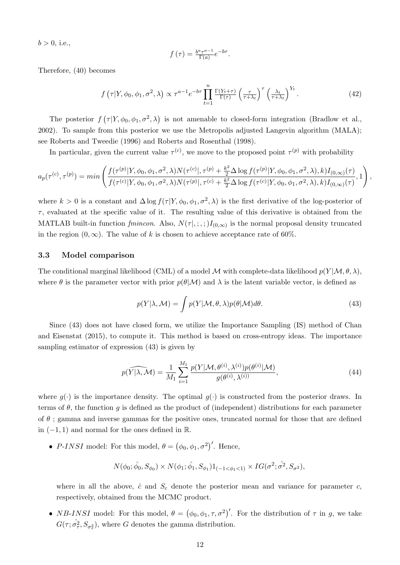$b > 0$ , i.e.,

$$
f(\tau) = \frac{b^a \tau^{a-1}}{\Gamma(a)} e^{-b\tau}.
$$

Therefore, (40) becomes

$$
f\left(\tau|Y,\phi_0,\phi_1,\sigma^2,\lambda\right) \propto \tau^{a-1} e^{-b\tau} \prod_{t=1}^n \frac{\Gamma(Y_t+\tau)}{\Gamma(\tau)} \left(\frac{\tau}{\tau+\lambda_t}\right)^\tau \left(\frac{\lambda_t}{\tau+\lambda_t}\right)^{Y_t}.
$$
 (42)

The posterior  $f(\tau|Y,\phi_0,\phi_1,\sigma^2,\lambda)$  is not amenable to closed-form integration (Bradlow et al., 2002). To sample from this posterior we use the Metropolis adjusted Langevin algorithm (MALA); see Roberts and Tweedie (1996) and Roberts and Rosenthal (1998).

In particular, given the current value  $\tau^{(c)}$ , we move to the proposed point  $\tau^{(p)}$  with probability

$$
a_p(\tau^{(c)}, \tau^{(p)}) = \min\left(\frac{f(\tau^{(p)}|Y, \phi_0, \phi_1, \sigma^2, \lambda) N(\tau^{(c)}|, \tau^{(p)} + \frac{k^2}{2}\Delta \log f(\tau^{(p)}|Y, \phi_0, \phi_1, \sigma^2, \lambda), k) I_{(0,\infty)}(\tau)}{f(\tau^{(c)}|Y, \phi_0, \phi_1, \sigma^2, \lambda) N(\tau^{(p)}|, \tau^{(c)} + \frac{k^2}{2}\Delta \log f(\tau^{(c)}|Y, \phi_0, \phi_1, \sigma^2, \lambda), k) I_{(0,\infty)}(\tau)}, 1\right),
$$

where  $k > 0$  is a constant and  $\Delta \log f(\tau | Y, \phi_0, \phi_1, \sigma^2, \lambda)$  is the first derivative of the log-posterior of  $\tau$ , evaluated at the specific value of it. The resulting value of this derivative is obtained from the MATLAB built-in function  $fmincon.$  Also,  $N(\tau |, ; , ;)I_{(0,\infty)}$  is the normal proposal density truncated in the region  $(0, \infty)$ . The value of k is chosen to achieve acceptance rate of 60%.

#### 3.3 Model comparison

The conditional marginal likelihood (CML) of a model M with complete-data likelihood  $p(Y | \mathcal{M}, \theta, \lambda)$ , where  $\theta$  is the parameter vector with prior  $p(\theta|\mathcal{M})$  and  $\lambda$  is the latent variable vector, is defined as

$$
p(Y|\lambda, \mathcal{M}) = \int p(Y|\mathcal{M}, \theta, \lambda) p(\theta|\mathcal{M}) d\theta.
$$
 (43)

Since (43) does not have closed form, we utilize the Importance Sampling (IS) method of Chan and Eisenstat (2015), to compute it. This method is based on cross-entropy ideas. The importance sampling estimator of expression (43) is given by

$$
p(\widehat{Y|\lambda,\mathcal{M}}) = \frac{1}{M_1} \sum_{i=1}^{M_1} \frac{p(Y|\mathcal{M}, \theta^{(i)}, \lambda^{(i)}) p(\theta^{(i)}|\mathcal{M})}{g(\theta^{(i)}, \lambda^{(i)})},\tag{44}
$$

where  $q(\cdot)$  is the importance density. The optimal  $q(\cdot)$  is constructed from the posterior draws. In terms of  $\theta$ , the function g is defined as the product of (independent) distributions for each parameter of  $\theta$ ; gamma and inverse gammas for the positive ones, truncated normal for those that are defined in  $(-1, 1)$  and normal for the ones defined in R.

• P-INSI model: For this model,  $\theta = (\phi_0, \phi_1, \sigma^2)'$ . Hence,

$$
N(\phi_0; \hat{\phi}_0, S_{\phi_0}) \times N(\phi_1; \hat{\phi_1}, S_{\phi_1})1_{(-1 < \phi_1 < 1)} \times IG(\sigma^2; \hat{\sigma^2}, S_{\sigma^2}),
$$

where in all the above,  $\hat{c}$  and  $S_c$  denote the posterior mean and variance for parameter c, respectively, obtained from the MCMC product.

• NB-INSI model: For this model,  $\theta = (\phi_0, \phi_1, \tau, \sigma^2)'$ . For the distribution of  $\tau$  in g, we take  $G(\tau; \hat{\sigma}_{\tau}^2, S_{\sigma_{\tau}^2})$ , where G denotes the gamma distribution.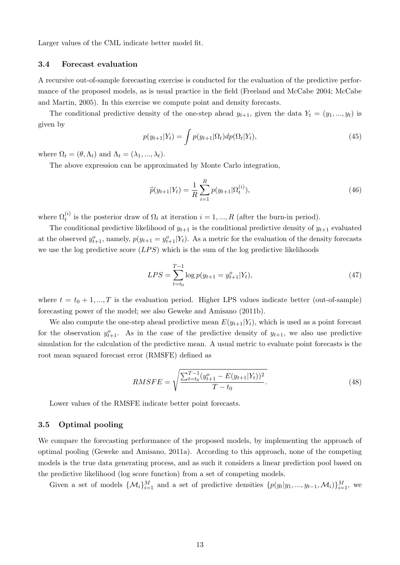Larger values of the CML indicate better model fit.

#### 3.4 Forecast evaluation

A recursive out-of-sample forecasting exercise is conducted for the evaluation of the predictive performance of the proposed models, as is usual practice in the field (Freeland and McCabe 2004; McCabe and Martin, 2005). In this exercise we compute point and density forecasts.

The conditional predictive density of the one-step ahead  $y_{t+1}$ , given the data  $Y_t = (y_1, ..., y_t)$  is given by

$$
p(y_{t+1}|Y_t) = \int p(y_{t+1}|\Omega_t) dp(\Omega_t|Y_t), \qquad (45)
$$

where  $\Omega_t = (\theta, \Lambda_t)$  and  $\Lambda_t = (\lambda_1, ..., \lambda_t)$ .

The above expression can be approximated by Monte Carlo integration,

$$
\widehat{p}(y_{t+1}|Y_t) = \frac{1}{R} \sum_{i=1}^{R} p(y_{t+1}|\Omega_t^{(i)}),
$$
\n(46)

where  $\Omega_t^{(i)}$  is the posterior draw of  $\Omega_t$  at iteration  $i = 1, ..., R$  (after the burn-in period).

The conditional predictive likelihood of  $y_{t+1}$  is the conditional predictive density of  $y_{t+1}$  evaluated at the observed  $y_{t+1}^o$ , namely,  $p(y_{t+1} = y_{t+1}^o | Y_t)$ . As a metric for the evaluation of the density forecasts we use the log predictive score  $(LPS)$  which is the sum of the log predictive likelihoods

$$
LPS = \sum_{t=t_0}^{T-1} \log p(y_{t+1} = y_{t+1}^o | Y_t), \tag{47}
$$

where  $t = t_0 + 1, ..., T$  is the evaluation period. Higher LPS values indicate better (out-of-sample) forecasting power of the model; see also Geweke and Amisano (2011b).

We also compute the one-step ahead predictive mean  $E(y_{t+1}|Y_t)$ , which is used as a point forecast for the observation  $y_{t+1}^o$ . As in the case of the predictive density of  $y_{t+1}$ , we also use predictive simulation for the calculation of the predictive mean. A usual metric to evaluate point forecasts is the root mean squared forecast error (RMSFE) defined as

$$
RMSFE = \sqrt{\frac{\sum_{t=t_0}^{T-1} (y_{t+1}^o - E(y_{t+1}|Y_t))^2}{T - t_0}}.
$$
\n(48)

Lower values of the RMSFE indicate better point forecasts.

#### 3.5 Optimal pooling

We compare the forecasting performance of the proposed models, by implementing the approach of optimal pooling (Geweke and Amisano, 2011a). According to this approach, none of the competing models is the true data generating process, and as such it considers a linear prediction pool based on the predictive likelihood (log score function) from a set of competing models.

Given a set of models  $\{\mathcal{M}_i\}_{i=1}^M$  and a set of predictive densities  $\{p(y_t|y_1, ..., y_{t-1}, \mathcal{M}_i)\}_{i=1}^M$ , we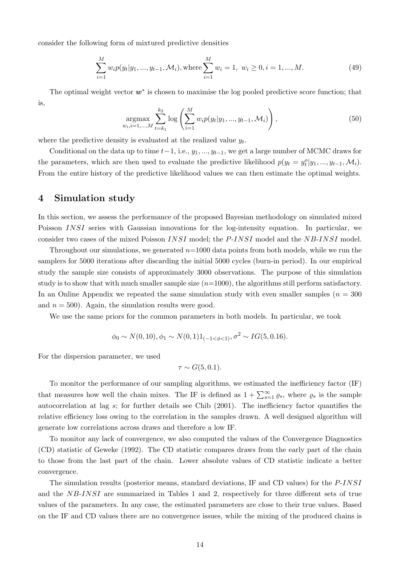consider the following form of mixtured predictive densities

$$
\sum_{i=1}^{M} w_i p(y_t | y_1, ..., y_{t-1}, \mathcal{M}_i), \text{where } \sum_{i=1}^{M} w_i = 1, \ w_i \ge 0, i = 1, ..., M. \tag{49}
$$

The optimal weight vector  $w^*$  is chosen to maximise the log pooled predictive score function; that is,

$$
\underset{w_i, i=1,\dots,M}{\text{argmax}} \sum_{t=k_1}^{k_2} \log \left( \sum_{i=1}^M w_i p(y_t | y_1, \dots, y_{t-1}, \mathcal{M}_i) \right), \tag{50}
$$

where the predictive density is evaluated at the realized value  $y_t$ .

Conditional on the data up to time  $t-1$ , i.e.,  $y_1, ..., y_{t-1}$ , we get a large number of MCMC draws for the parameters, which are then used to evaluate the predictive likelihood  $p(y_t = y_t^o | y_1, ..., y_{t-1}, \mathcal{M}_i)$ . From the entire history of the predictive likelihood values we can then estimate the optimal weights.

## 4 Simulation study

In this section, we assess the performance of the proposed Bayesian methodology on simulated mixed Poisson INSI series with Gaussian innovations for the log-intensity equation. In particular, we consider two cases of the mixed Poisson INSI model; the P-INSI model and the NB-INSI model.

Throughout our simulations, we generated  $n=1000$  data points from both models, while we run the samplers for 5000 iterations after discarding the initial 5000 cycles (burn-in period). In our empirical study the sample size consists of approximately 3000 observations. The purpose of this simulation study is to show that with much smaller sample size  $(n=1000)$ , the algorithms still perform satisfactory. In an Online Appendix we repeated the same simulation study with even smaller samples ( $n = 300$ ) and  $n = 500$ . Again, the simulation results were good.

We use the same priors for the common parameters in both models. In particular, we took

$$
\phi_0 \sim N(0, 10), \phi_1 \sim N(0, 1)1_{(-1 \le \phi \le 1)}, \sigma^2 \sim IG(5, 0.16).
$$

For the dispersion parameter, we used

$$
\tau \sim G(5, 0.1).
$$

To monitor the performance of our sampling algorithms, we estimated the inefficiency factor (IF) that measures how well the chain mixes. The IF is defined as  $1 + \sum_{s=1}^{\infty} \varrho_s$ , where  $\varrho_s$  is the sample autocorrelation at lag s; for further details see Chib (2001). The inefficiency factor quantifies the relative efficiency loss owing to the correlation in the samples drawn. A well designed algorithm will generate low correlations across draws and therefore a low IF.

To monitor any lack of convergence, we also computed the values of the Convergence Diagnostics (CD) statistic of Geweke (1992). The CD statistic compares draws from the early part of the chain to those from the last part of the chain. Lower absolute values of CD statistic indicate a better convergence.

The simulation results (posterior means, standard deviations, IF and CD values) for the P-INSI and the NB-INSI are summarized in Tables 1 and 2, respectively for three different sets of true values of the parameters. In any case, the estimated parameters are close to their true values. Based on the IF and CD values there are no convergence issues, while the mixing of the produced chains is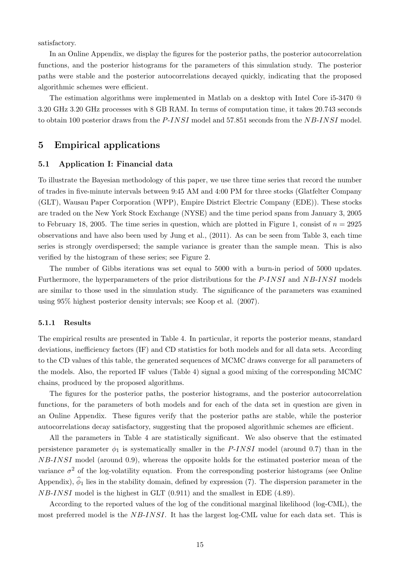satisfactory.

In an Online Appendix, we display the figures for the posterior paths, the posterior autocorrelation functions, and the posterior histograms for the parameters of this simulation study. The posterior paths were stable and the posterior autocorrelations decayed quickly, indicating that the proposed algorithmic schemes were efficient.

The estimation algorithms were implemented in Matlab on a desktop with Intel Core i5-3470 @ 3.20 GHz 3.20 GHz processes with 8 GB RAM. In terms of computation time, it takes 20.743 seconds to obtain 100 posterior draws from the P-INSI model and 57.851 seconds from the NB-INSI model.

# 5 Empirical applications

### 5.1 Application I: Financial data

To illustrate the Bayesian methodology of this paper, we use three time series that record the number of trades in five-minute intervals between 9:45 AM and 4:00 PM for three stocks (Glatfelter Company (GLT), Wausau Paper Corporation (WPP), Empire District Electric Company (EDE)). These stocks are traded on the New York Stock Exchange (NYSE) and the time period spans from January 3, 2005 to February 18, 2005. The time series in question, which are plotted in Figure 1, consist of  $n = 2925$ observations and have also been used by Jung et al., (2011). As can be seen from Table 3, each time series is strongly overdispersed; the sample variance is greater than the sample mean. This is also verified by the histogram of these series; see Figure 2.

The number of Gibbs iterations was set equal to 5000 with a burn-in period of 5000 updates. Furthermore, the hyperparameters of the prior distributions for the P-INSI and NB-INSI models are similar to those used in the simulation study. The significance of the parameters was examined using 95% highest posterior density intervals; see Koop et al. (2007).

#### 5.1.1 Results

The empirical results are presented in Table 4. In particular, it reports the posterior means, standard deviations, inefficiency factors (IF) and CD statistics for both models and for all data sets. According to the CD values of this table, the generated sequences of MCMC draws converge for all parameters of the models. Also, the reported IF values (Table 4) signal a good mixing of the corresponding MCMC chains, produced by the proposed algorithms.

The figures for the posterior paths, the posterior histograms, and the posterior autocorrelation functions, for the parameters of both models and for each of the data set in question are given in an Online Appendix. These figures verify that the posterior paths are stable, while the posterior autocorrelations decay satisfactory, suggesting that the proposed algorithmic schemes are efficient.

All the parameters in Table 4 are statistically significant. We also observe that the estimated persistence parameter  $\phi_1$  is systematically smaller in the *P-INSI* model (around 0.7) than in the NB-INSI model (around 0.9), whereas the opposite holds for the estimated posterior mean of the variance  $\sigma^2$  of the log-volatility equation. From the corresponding posterior histograms (see Online Appendix),  $\hat{\phi}_1$  lies in the stability domain, defined by expression (7). The dispersion parameter in the  $NB\text{-}INSI$  model is the highest in GLT  $(0.911)$  and the smallest in EDE  $(4.89)$ .

According to the reported values of the log of the conditional marginal likelihood (log-CML), the most preferred model is the NB-INSI. It has the largest log-CML value for each data set. This is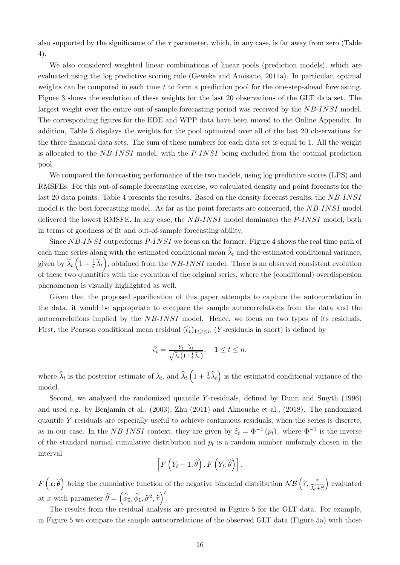also supported by the significance of the  $\tau$  parameter, which, in any case, is far away from zero (Table 4).

We also considered weighted linear combinations of linear pools (prediction models), which are evaluated using the log predictive scoring rule (Geweke and Amisano, 2011a). In particular, optimal weights can be computed in each time  $t$  to form a prediction pool for the one-step-ahead forecasting. Figure 3 shows the evolution of these weights for the last 20 observations of the GLT data set. The largest weight over the entire out-of sample forecasting period was received by the NB-INSI model. The corresponding figures for the EDE and WPP data have been moved to the Online Appendix. In addition, Table 5 displays the weights for the pool optimized over all of the last 20 observations for the three financial data sets. The sum of these numbers for each data set is equal to 1. All the weight is allocated to the NB-INSI model, with the P-INSI being excluded from the optimal prediction pool.

We compared the forecasting performance of the two models, using log predictive scores (LPS) and RMSFEs. For this out-of-sample forecasting exercise, we calculated density and point forecasts for the last 20 data points. Table 4 presents the results. Based on the density forecast results, the NB-INSI model is the best forecasting model. As far as the point forecasts are concerned, the NB-INSI model delivered the lowest RMSFE. In any case, the NB-INSI model dominates the P-INSI model, both in terms of goodness of fit and out-of-sample forecasting ability.

Since NB-INSI outperforms P-INSI we focus on the former. Figure 4 shows the real time path of each time series along with the estimated conditional mean  $\hat{\lambda}_t$  and the estimated conditional variance, given by  $\hat{\lambda}_t \left(1 + \frac{1}{\tilde{\tau}} \hat{\lambda}_t\right)$ , obtained from the *NB-INSI* model. There is an observed consistent evolution of these two quantities with the evolution of the original series, where the (conditional) overdispersion phenomenon is visually highlighted as well.

Given that the proposed specification of this paper attempts to capture the autocorrelation in the data, it would be appropriate to compare the sample autocorrelations from the data and the autocorrelations implied by the NB-INSI model. Hence, we focus on two types of its residuals. First, the Pearson conditional mean residual  $(\hat{\epsilon}_t)_{1\leq t\leq n}$  (Y-residuals in short) is defined by

$$
\widehat{\epsilon}_t = \frac{Y_t - \widehat{\lambda}_t}{\sqrt{\widehat{\lambda}_t \left(1 + \frac{1}{\widehat{\tau}} \widehat{\lambda}_t\right)}}, \quad 1 \le t \le n,
$$

where  $\hat{\lambda}_t$  is the posterior estimate of  $\lambda_t$ , and  $\hat{\lambda}_t \left(1 + \frac{1}{\hat{\tau}} \hat{\lambda}_t\right)$  is the estimated conditional variance of the model.

Second, we analysed the randomized quantile Y -residuals, defined by Dunn and Smyth (1996) and used e.g. by Benjamin et al., (2003), Zhu (2011) and Aknouche et al., (2018). The randomized quantile Y-residuals are especially useful to achieve continuous residuals, when the series is discrete, as in our case. In the NB-INSI context, they are given by  $\hat{\epsilon}_t = \Phi^{-1}(p_t)$ , where  $\Phi^{-1}$  is the inverse of the standard normal cumulative distribution and  $p_t$  is a random number uniformly chosen in the interval

$$
\left[F\left(Y_t-1;\widehat{\theta}\right),F\left(Y_t;\widehat{\theta}\right)\right],
$$

 $F(x;\hat{\theta})$  being the cumulative function of the negative binomial distribution  $N\mathcal{B}\left(\hat{\tau},\frac{\hat{\tau}}{\hat{\lambda}_t+\hat{\tau}}\right)$  $\lambda_t+\widehat{\tau}$ ) evaluated at x with parameter  $\widehat{\theta} = (\widehat{\phi}_0, \widehat{\phi}_1, \widehat{\sigma}^2, \widehat{\tau})'.$ 

The results from the residual analysis are presented in Figure 5 for the GLT data. For example, in Figure 5 we compare the sample autocorrelations of the observed GLT data (Figure 5a) with those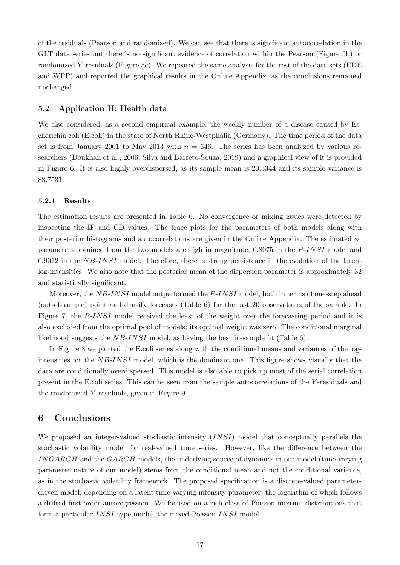of the residuals (Pearson and randomized). We can see that there is significant autocorrelation in the GLT data series but there is no significant evidence of correlation within the Pearson (Figure 5b) or randomized Y -residuals (Figure 5c). We repeated the same analysis for the rest of the data sets (EDE and WPP) and reported the graphical results in the Online Appendix, as the conclusions remained unchanged.

#### 5.2 Application II: Health data

We also considered, as a second empirical example, the weekly number of a disease caused by Escherichia coli (E.coli) in the state of North Rhine-Westphalia (Germany). The time period of the data set is from January 2001 to May 2013 with  $n = 646$ . The series has been analyzed by various researchers (Doukhan et al., 2006; Silva and Barreto-Souza, 2019) and a graphical view of it is provided in Figure 6. It is also highly overdispersed, as its sample mean is 20.3344 and its sample variance is 88.7531.

#### 5.2.1 Results

The estimation results are presented in Table 6. No convergence or mixing issues were detected by inspecting the IF and CD values. The trace plots for the parameters of both models along with their posterior histograms and autocorrelations are given in the Online Appendix. The estimated  $\phi_1$ parameters obtained from the two models are high in magnitude; 0.8075 in the P-INSI model and 0.9012 in the  $NB\text{-}INSI$  model. Therefore, there is strong persistence in the evolution of the latent log-intensities. We also note that the posterior mean of the dispersion parameter is approximately 32 and statistically significant.

Moreover, the NB-INSI model outperformed the P-INSI model, both in terms of one-step ahead (out-of-sample) point and density forecasts (Table 6) for the last 20 observations of the sample. In Figure 7, the P-INSI model received the least of the weight over the forecasting period and it is also excluded from the optimal pool of models; its optimal weight was zero. The conditional marginal likelihood suggests the NB-INSI model, as having the best in-sample fit (Table 6).

In Figure 8 we plotted the E.coli series along with the conditional means and variances of the logintensities for the NB-INSI model, which is the dominant one. This figure shows visually that the data are conditionally overdispersed. This model is also able to pick up most of the serial correlation present in the E.coli series. This can be seen from the sample autocorrelations of the Y -residuals and the randomized Y -residuals, given in Figure 9.

# 6 Conclusions

We proposed an integer-valued stochastic intensity (INSI) model that conceptually parallels the stochastic volatility model for real-valued time series. However, like the difference between the INGARCH and the GARCH models, the underlying source of dynamics in our model (time-varying parameter nature of our model) stems from the conditional mean and not the conditional variance, as in the stochastic volatility framework. The proposed specification is a discrete-valued parameterdriven model, depending on a latent time-varying intensity parameter, the logarithm of which follows a drifted first-order autoregression. We focused on a rich class of Poisson mixture distributions that form a particular INSI-type model, the mixed Poisson INSI model.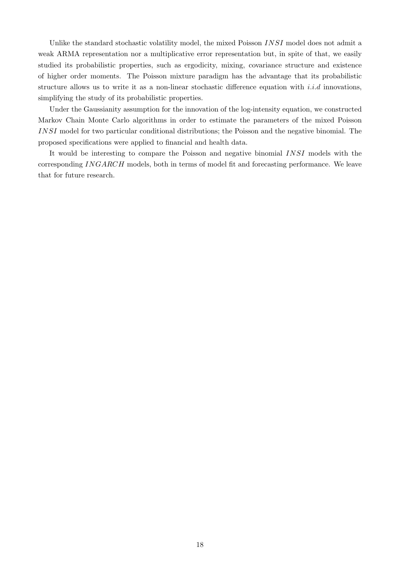Unlike the standard stochastic volatility model, the mixed Poisson INSI model does not admit a weak ARMA representation nor a multiplicative error representation but, in spite of that, we easily studied its probabilistic properties, such as ergodicity, mixing, covariance structure and existence of higher order moments. The Poisson mixture paradigm has the advantage that its probabilistic structure allows us to write it as a non-linear stochastic difference equation with  $i.i.d$  innovations, simplifying the study of its probabilistic properties.

Under the Gaussianity assumption for the innovation of the log-intensity equation, we constructed Markov Chain Monte Carlo algorithms in order to estimate the parameters of the mixed Poisson INSI model for two particular conditional distributions; the Poisson and the negative binomial. The proposed specifications were applied to financial and health data.

It would be interesting to compare the Poisson and negative binomial INSI models with the corresponding INGARCH models, both in terms of model fit and forecasting performance. We leave that for future research.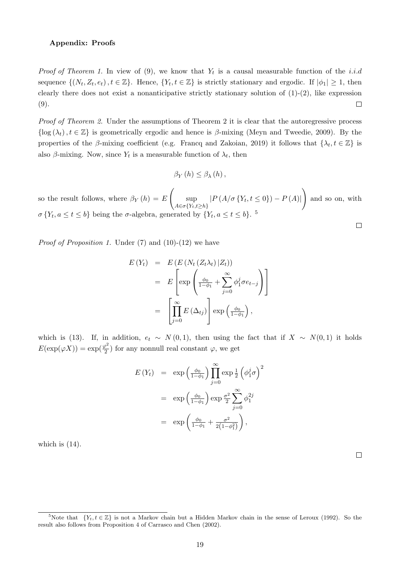#### Appendix: Proofs

*Proof of Theorem 1.* In view of  $(9)$ , we know that  $Y_t$  is a causal measurable function of the *i.i.d* sequence  $\{(N_t, Z_t, e_t), t \in \mathbb{Z}\}\.$  Hence,  $\{Y_t, t \in \mathbb{Z}\}\.$  is strictly stationary and ergodic. If  $|\phi_1| \geq 1$ , then clearly there does not exist a nonanticipative strictly stationary solution of  $(1)-(2)$ , like expression (9).  $\Box$ 

*Proof of Theorem 2.* Under the assumptions of Theorem 2 it is clear that the autoregressive process  $\{\log(\lambda_t), t \in \mathbb{Z}\}\$ is geometrically ergodic and hence is  $\beta$ -mixing (Meyn and Tweedie, 2009). By the properties of the  $\beta$ -mixing coefficient (e.g. Francq and Zakoian, 2019) it follows that  $\{\lambda_t, t \in \mathbb{Z}\}$  is also  $\beta$ -mixing. Now, since  $Y_t$  is a measurable function of  $\lambda_t$ , then

$$
\beta_Y(h) \leq \beta_\lambda(h),
$$

 $\sqrt{ }$  $\setminus$ so the result follows, where  $\beta_Y(h) = E$ sup  $|P(A/\sigma \{Y_t, t \leq 0\}) - P(A)|$ and so on, with  $A \in \sigma \{Y_t, t \geq h\}$  $\sigma\left\{Y_t, a \leq t \leq b\right\}$  being the  $\sigma$ -algebra, generated by  $\{Y_t, a \leq t \leq b\}$ .<sup>5</sup>  $\Box$ 

*Proof of Proposition 1.* Under (7) and (10)-(12) we have

$$
E(Y_t) = E(E(N_t (Z_t \lambda_t) | Z_t))
$$
  
= 
$$
E\left[\exp\left(\frac{\phi_0}{1-\phi_1} + \sum_{j=0}^{\infty} \phi_1^j \sigma e_{t-j}\right)\right]
$$
  
= 
$$
\left[\prod_{j=0}^{\infty} E(\Delta_{tj})\right] \exp\left(\frac{\phi_0}{1-\phi_1}\right),
$$

which is (13). If, in addition,  $e_t \sim N(0, 1)$ , then using the fact that if  $X \sim N(0, 1)$  it holds  $E(\exp(\varphi X)) = \exp(\frac{\varphi^2}{2})$  $\frac{\partial^2}{\partial x^2}$  for any nonnull real constant  $\varphi$ , we get

$$
E(Y_t) = \exp\left(\frac{\phi_0}{1-\phi_1}\right) \prod_{j=0}^{\infty} \exp\frac{1}{2} \left(\phi_1^j \sigma\right)^2
$$

$$
= \exp\left(\frac{\phi_0}{1-\phi_1}\right) \exp\frac{\sigma^2}{2} \sum_{j=0}^{\infty} \phi_1^{2j}
$$

$$
= \exp\left(\frac{\phi_0}{1-\phi_1} + \frac{\sigma^2}{2(1-\phi_1^2)}\right),
$$

which is  $(14)$ .

 $\Box$ 

<sup>&</sup>lt;sup>5</sup>Note that  ${Y_t, t \in \mathbb{Z}}$  is not a Markov chain but a Hidden Markov chain in the sense of Leroux (1992). So the result also follows from Proposition 4 of Carrasco and Chen (2002).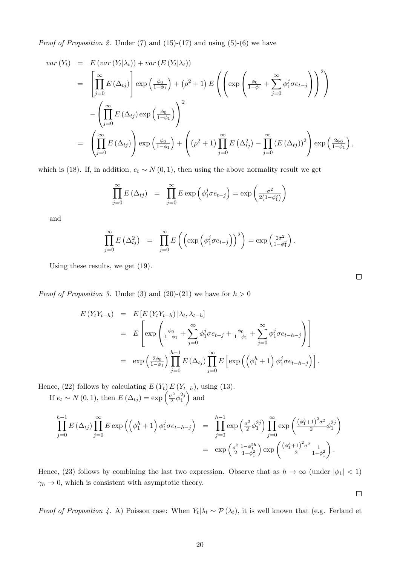*Proof of Proposition 2.* Under  $(7)$  and  $(15)-(17)$  and using  $(5)-(6)$  we have

$$
var(Y_t) = E(var(Y_t|\lambda_t)) + var(E(Y_t|\lambda_t))
$$
  
\n
$$
= \left[ \prod_{j=0}^{\infty} E(\Delta_{tj}) \right] exp\left(\frac{\phi_0}{1-\phi_1}\right) + (\rho^2 + 1) E\left(\left( exp\left(\frac{\phi_0}{1-\phi_1} + \sum_{j=0}^{\infty} \phi_1^j \sigma e_{t-j}\right)\right)^2\right)
$$
  
\n
$$
- \left( \prod_{j=0}^{\infty} E(\Delta_{tj}) exp\left(\frac{\phi_0}{1-\phi_1}\right) \right)^2
$$
  
\n
$$
= \left( \prod_{j=0}^{\infty} E(\Delta_{tj}) \right) exp\left(\frac{\phi_0}{1-\phi_1}\right) + \left( (\rho^2 + 1) \prod_{j=0}^{\infty} E(\Delta_{tj}^2) - \prod_{j=0}^{\infty} (E(\Delta_{tj}))^2 \right) exp\left(\frac{2\phi_0}{1-\phi_1}\right),
$$

which is (18). If, in addition,  $e_t \sim N(0, 1)$ , then using the above normality result we get

$$
\prod_{j=0}^{\infty} E(\Delta_{tj}) = \prod_{j=0}^{\infty} E \exp \left( \phi_1^j \sigma e_{t-j} \right) = \exp \left( \frac{\sigma^2}{2(1-\phi_1^2)} \right)
$$

and

$$
\prod_{j=0}^{\infty} E\left(\Delta_{tj}^2\right) = \prod_{j=0}^{\infty} E\left(\left(\exp\left(\phi_1^j \sigma e_{t-j}\right)\right)^2\right) = \exp\left(\frac{2\sigma^2}{1-\phi_1^2}\right).
$$

Using these results, we get (19).

*Proof of Proposition 3.* Under (3) and (20)-(21) we have for  $h > 0$ 

$$
E(Y_tY_{t-h}) = E\left[E(Y_tY_{t-h}) | \lambda_t, \lambda_{t-h}\right]
$$
  
\n
$$
= E\left[\exp\left(\frac{\phi_0}{1-\phi_1} + \sum_{j=0}^{\infty} \phi_1^j \sigma e_{t-j} + \frac{\phi_0}{1-\phi_1} + \sum_{j=0}^{\infty} \phi_1^j \sigma e_{t-h-j}\right)\right]
$$
  
\n
$$
= \exp\left(\frac{2\phi_0}{1-\phi_1}\right) \prod_{j=0}^{h-1} E\left(\Delta_{tj}\right) \prod_{j=0}^{\infty} E\left[\exp\left(\left(\phi_1^h + 1\right) \phi_1^j \sigma e_{t-h-j}\right)\right].
$$

Hence, (22) follows by calculating  $E(Y_t) E(Y_{t-h})$ , using (13). If  $e_t \sim N(0, 1)$ , then  $E(\Delta_{tj}) = \exp\left(\frac{\sigma^2}{2}\right)$  $\frac{\sigma^2}{2} \phi_1^{2j}$ 1  $\Big)$  and

$$
\prod_{j=0}^{h-1} E(\Delta_{tj}) \prod_{j=0}^{\infty} E \exp \left( \left( \phi_1^h + 1 \right) \phi_1^j \sigma e_{t-h-j} \right) = \prod_{j=0}^{h-1} \exp \left( \frac{\sigma^2}{2} \phi_1^{2j} \right) \prod_{j=0}^{\infty} \exp \left( \frac{\left( \phi_1^h + 1 \right)^2 \sigma^2}{2} \phi_1^{2j} \right)
$$
  
= 
$$
\exp \left( \frac{\sigma^2}{2} \frac{1 - \phi_1^{2h}}{1 - \phi_1^2} \right) \exp \left( \frac{\left( \phi_1^h + 1 \right)^2 \sigma^2}{2} \frac{1}{1 - \phi_1^2} \right).
$$

Hence, (23) follows by combining the last two expression. Observe that as  $h \to \infty$  (under  $|\phi_1| < 1$ )  $\gamma_h \to 0$ , which is consistent with asymptotic theory.

 $\Box$ 

*Proof of Proposition 4.* A) Poisson case: When  $Y_t | \lambda_t \sim \mathcal{P}(\lambda_t)$ , it is well known that (e.g. Ferland et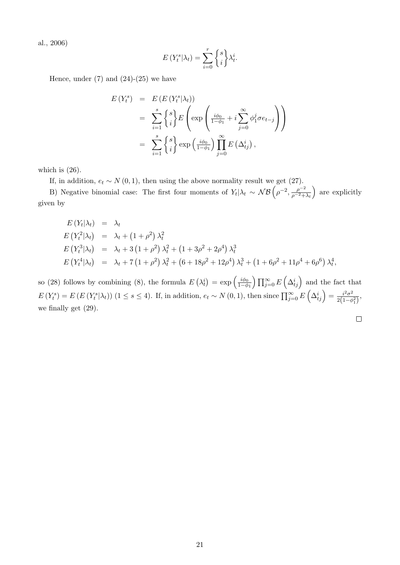al., 2006)

$$
E(Y_t^s|\lambda_t) = \sum_{i=0}^r \begin{Bmatrix} s \\ i \end{Bmatrix} \lambda_t^i.
$$

Hence, under  $(7)$  and  $(24)-(25)$  we have

$$
E(Y_t^s) = E(E(Y_t^s | \lambda_t))
$$
  
= 
$$
\sum_{i=1}^s {s \brace i} E\left(\exp\left(\frac{i\phi_0}{1-\phi_1} + i \sum_{j=0}^\infty \phi_1^j \sigma e_{t-j}\right)\right)
$$
  
= 
$$
\sum_{i=1}^s {s \brace i} \exp\left(\frac{i\phi_0}{1-\phi_1}\right) \prod_{j=0}^\infty E(\Delta_{tj}^i),
$$

which is  $(26)$ .

If, in addition,  $e_t \sim N(0, 1)$ , then using the above normality result we get (27).

B) Negative binomial case: The first four moments of  $Y_t | \lambda_t \sim \mathcal{NB} \left( \rho^{-2}, \frac{\rho^{-2}}{\rho^{-2} + \rho^{-2}} \right)$  $\rho^{-2}+\lambda_t$  are explicitly given by

$$
E(Y_t|\lambda_t) = \lambda_t
$$
  
\n
$$
E(Y_t^2|\lambda_t) = \lambda_t + (1+\rho^2) \lambda_t^2
$$
  
\n
$$
E(Y_t^3|\lambda_t) = \lambda_t + 3(1+\rho^2) \lambda_t^2 + (1+3\rho^2+2\rho^4) \lambda_t^3
$$
  
\n
$$
E(Y_t^4|\lambda_t) = \lambda_t + 7(1+\rho^2) \lambda_t^2 + (6+18\rho^2+12\rho^4) \lambda_t^3 + (1+6\rho^2+11\rho^4+6\rho^6) \lambda_t^4,
$$

so (28) follows by combining (8), the formula  $E(\lambda_t^i) = \exp\left(\frac{i\phi_0}{1-\phi}\right)$  $\frac{i\phi_0}{1-\phi_1}$   $\prod_{j=0}^{\infty} E\left(\Delta_{tj}^i\right)$  and the fact that  $E(Y_t^s) = E(E(Y_t^s|\lambda_t))$  (1 ≤ s ≤ 4). If, in addition,  $e_t \sim N(0, 1)$ , then since  $\prod_{j=0}^{\infty} E(\Delta_{tj}^i) = \frac{i^2\sigma^2}{2(1-d)}$  $\frac{i^2 \sigma^2}{2(1-\phi_1^2)}$ we finally get (29).

$$
\Box
$$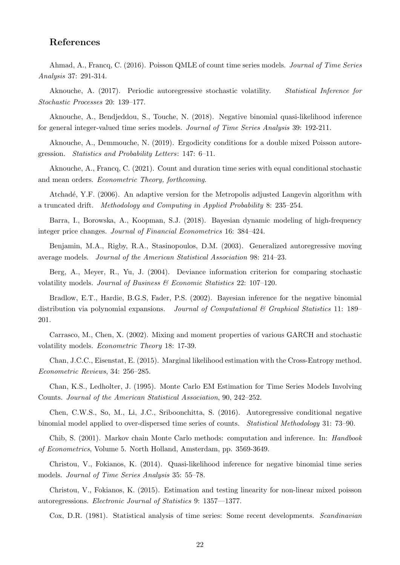# References

Ahmad, A., Francq, C. (2016). Poisson QMLE of count time series models. *Journal of Time Series Analysis* 37: 291-314.

Aknouche, A. (2017). Periodic autoregressive stochastic volatility. *Statistical Inference for Stochastic Processes* 20: 139–177.

Aknouche, A., Bendjeddou, S., Touche, N. (2018). Negative binomial quasi-likelihood inference for general integer-valued time series models. *Journal of Time Series Analysis* 39: 192-211.

Aknouche, A., Demmouche, N. (2019). Ergodicity conditions for a double mixed Poisson autoregression. *Statistics and Probability Letters*: 147: 6–11.

Aknouche, A., Francq, C. (2021). Count and duration time series with equal conditional stochastic and mean orders. *Econometric Theory, forthcoming*.

Atchadé, Y.F. (2006). An adaptive version for the Metropolis adjusted Langevin algorithm with a truncated drift. *Methodology and Computing in Applied Probability* 8: 235–254.

Barra, I., Borowska, A., Koopman, S.J. (2018). Bayesian dynamic modeling of high-frequency integer price changes. *Journal of Financial Econometrics* 16: 384–424.

Benjamin, M.A., Rigby, R.A., Stasinopoulos, D.M. (2003). Generalized autoregressive moving average models. *Journal of the American Statistical Association* 98: 214–23.

Berg, A., Meyer, R., Yu, J. (2004). Deviance information criterion for comparing stochastic volatility models. *Journal of Business & Economic Statistics* 22: 107–120.

Bradlow, E.T., Hardie, B.G.S, Fader, P.S. (2002). Bayesian inference for the negative binomial distribution via polynomial expansions. *Journal of Computational & Graphical Statistics* 11: 189– 201.

Carrasco, M., Chen, X. (2002). Mixing and moment properties of various GARCH and stochastic volatility models. *Econometric Theory* 18: 17-39.

Chan, J.C.C., Eisenstat, E. (2015). Marginal likelihood estimation with the Cross-Entropy method. *Econometric Reviews*, 34: 256–285.

Chan, K.S., Ledholter, J. (1995). Monte Carlo EM Estimation for Time Series Models Involving Counts. *Journal of the American Statistical Association*, 90, 242–252.

Chen, C.W.S., So, M., Li, J.C., Sriboonchitta, S. (2016). Autoregressive conditional negative binomial model applied to over-dispersed time series of counts. *Statistical Methodology* 31: 73–90.

Chib, S. (2001). Markov chain Monte Carlo methods: computation and inference. In: *Handbook of Econometrics*, Volume 5. North Holland, Amsterdam, pp. 3569-3649.

Christou, V., Fokianos, K. (2014). Quasi-likelihood inference for negative binomial time series models. *Journal of Time Series Analysis* 35: 55–78.

Christou, V., Fokianos, K. (2015). Estimation and testing linearity for non-linear mixed poisson autoregressions. *Electronic Journal of Statistics* 9: 1357—1377.

Cox, D.R. (1981). Statistical analysis of time series: Some recent developments. *Scandinavian*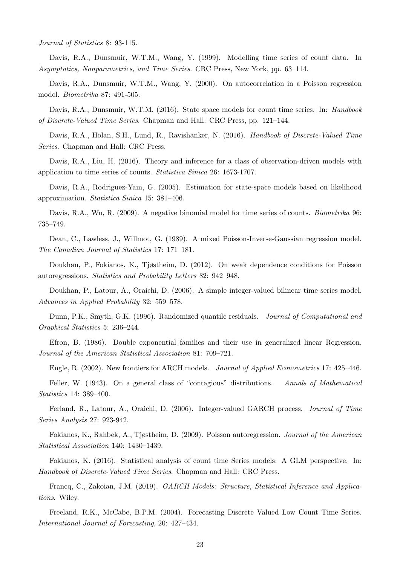*Journal of Statistics* 8: 93-115.

Davis, R.A., Dunsmuir, W.T.M., Wang, Y. (1999). Modelling time series of count data. In *Asymptotics, Nonparametrics, and Time Series*. CRC Press, New York, pp. 63–114.

Davis, R.A., Dunsmuir, W.T.M., Wang, Y. (2000). On autocorrelation in a Poisson regression model. *Biometrika* 87: 491-505.

Davis, R.A., Dunsmuir, W.T.M. (2016). State space models for count time series. In: *Handbook of Discrete-Valued Time Series*. Chapman and Hall: CRC Press, pp. 121–144.

Davis, R.A., Holan, S.H., Lund, R., Ravishanker, N. (2016). *Handbook of Discrete-Valued Time Series*. Chapman and Hall: CRC Press.

Davis, R.A., Liu, H. (2016). Theory and inference for a class of observation-driven models with application to time series of counts. *Statistica Sinica* 26: 1673-1707.

Davis, R.A., Rodriguez-Yam, G. (2005). Estimation for state-space models based on likelihood approximation. *Statistica Sinica* 15: 381–406.

Davis, R.A., Wu, R. (2009). A negative binomial model for time series of counts. *Biometrika* 96: 735–749.

Dean, C., Lawless, J., Willmot, G. (1989). A mixed Poisson-Inverse-Gaussian regression model. *The Canadian Journal of Statistics* 17: 171–181.

Doukhan, P., Fokianos, K., Tjøstheim, D. (2012). On weak dependence conditions for Poisson autoregressions. *Statistics and Probability Letters* 82: 942–948.

Doukhan, P., Latour, A., Oraichi, D. (2006). A simple integer-valued bilinear time series model. *Advances in Applied Probability* 32: 559–578.

Dunn, P.K., Smyth, G.K. (1996). Randomized quantile residuals. *Journal of Computational and Graphical Statistics* 5: 236–244.

Efron, B. (1986). Double exponential families and their use in generalized linear Regression. *Journal of the American Statistical Association* 81: 709–721.

Engle, R. (2002). New frontiers for ARCH models. *Journal of Applied Econometrics* 17: 425–446.

Feller, W. (1943). On a general class of "contagious" distributions. *Annals of Mathematical Statistics* 14: 389–400.

Ferland, R., Latour, A., Oraichi, D. (2006). Integer-valued GARCH process. *Journal of Time Series Analysis* 27: 923-942.

Fokianos, K., Rahbek, A., Tjøstheim, D. (2009). Poisson autoregression. *Journal of the American Statistical Association* 140: 1430–1439.

Fokianos, K. (2016). Statistical analysis of count time Series models: A GLM perspective. In: *Handbook of Discrete-Valued Time Series*. Chapman and Hall: CRC Press.

Francq, C., Zakoian, J.M. (2019). *GARCH Models: Structure, Statistical Inference and Applications*. Wiley.

Freeland, R.K., McCabe, B.P.M. (2004). Forecasting Discrete Valued Low Count Time Series. *International Journal of Forecasting*, 20: 427–434.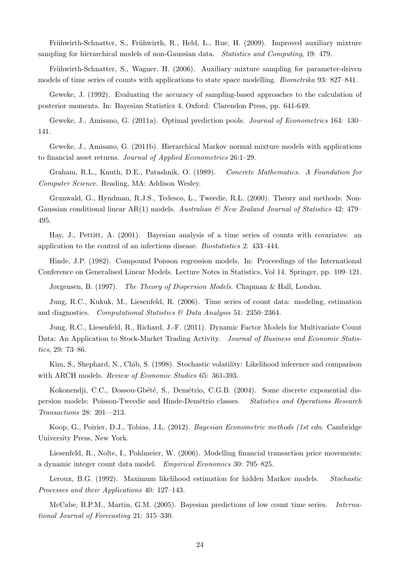Frühwirth-Schnatter, S., Frühwirth, R., Held, L., Rue, H. (2009). Improved auxiliary mixture sampling for hierarchical models of non-Gaussian data. *Statistics and Computing*, 19: 479.

Frühwirth-Schnatter, S., Wagner, H. (2006). Auxiliary mixture sampling for parameter-driven models of time series of counts with applications to state space modelling. *Biometrika* 93: 827–841.

Geweke, J. (1992). Evaluating the accuracy of sampling-based approaches to the calculation of posterior moments. In: Bayesian Statistics 4, Oxford: Clarendon Press, pp. 641-649.

Geweke, J., Amisano, G. (2011a). Optimal prediction pools. *Journal of Econometrics* 164: 130– 141.

Geweke, J., Amisano, G. (2011b). Hierarchical Markov normal mixture models with applications to financial asset returns. *Journal of Applied Econometrics* 26:1–29.

Graham, R.L., Knuth, D.E., Patashnik, O. (1989). *Concrete Mathematics. A Foundation for Computer Science*. Reading, MA: Addison Wesley.

Grunwald, G., Hyndman, R.J.S., Tedesco, L., Tweedie, R.L. (2000). Theory and methods: Non-Gaussian conditional linear AR(1) models. *Australian & New Zealand Journal of Statistics* 42: 479– 495.

Hay, J., Pettitt, A. (2001). Bayesian analysis of a time series of counts with covariates: an application to the control of an infectious disease. *Biostatistics* 2: 433–444.

Hinde, J.P. (1982). Compound Poisson regression models. In: Proceedings of the International Conference on Generalised Linear Models. Lecture Notes in Statistics, Vol 14. Springer, pp. 109–121.

Jørgensen, B. (1997). *The Theory of Dispersion Models*. Chapman & Hall, London.

Jung, R.C., Kukuk, M., Liesenfeld, R. (2006). Time series of count data: modeling, estimation and diagnostics. *Computational Statistics & Data Analysis* 51: 2350–2364.

Jung, R.C., Liesenfeld, R., Richard, J.-F. (2011). Dynamic Factor Models for Multivariate Count Data: An Application to Stock-Market Trading Activity. *Journal of Business and Economic Statistics*, 29: 73–86.

Kim, S., Shephard, N., Chib, S. (1998). Stochastic volatility: Likelihood inference and comparison with ARCH models. *Review of Economic Studies* 65: 361-393.

Kokonendji, C.C., Dossou-Gbété, S., Demétrio, C.G.B. (2004). Some discrete exponential dispersion models: Poisson-Tweedie and Hinde-Dem´etrio classes. *Statistics and Operations Research Transactions* 28: 201—213.

Koop, G., Poirier, D.J., Tobias, J.L. (2012). *Bayesian Econometric methods (1st edn*. Cambridge University Press, New York.

Liesenfeld, R., Nolte, I., Pohlmeier, W. (2006). Modelling financial transaction price movements: a dynamic integer count data model. *Empirical Economics* 30: 795–825.

Leroux, B.G. (1992). Maximum likelihood estimation for hidden Markov models. *Stochastic Processes and their Applications* 40: 127–143.

McCabe, B.P.M., Martin, G.M. (2005). Bayesian predictions of low count time series. *International Journal of Forecasting* 21: 315–330.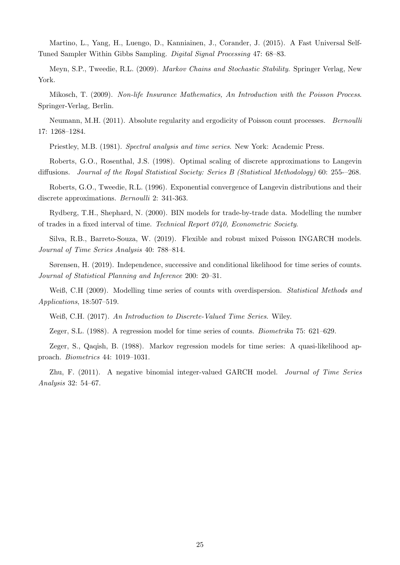Martino, L., Yang, H., Luengo, D., Kanniainen, J., Corander, J. (2015). A Fast Universal Self-Tuned Sampler Within Gibbs Sampling. *Digital Signal Processing* 47: 68–83.

Meyn, S.P., Tweedie, R.L. (2009). *Markov Chains and Stochastic Stability*. Springer Verlag, New York.

Mikosch, T. (2009). *Non-life Insurance Mathematics, An Introduction with the Poisson Process*. Springer-Verlag, Berlin.

Neumann, M.H. (2011). Absolute regularity and ergodicity of Poisson count processes. *Bernoulli* 17: 1268–1284.

Priestley, M.B. (1981). *Spectral analysis and time series*. New York: Academic Press.

Roberts, G.O., Rosenthal, J.S. (1998). Optimal scaling of discrete approximations to Langevin diffusions. *Journal of the Royal Statistical Society: Series B (Statistical Methodology)* 60: 255-–268.

Roberts, G.O., Tweedie, R.L. (1996). Exponential convergence of Langevin distributions and their discrete approximations. *Bernoulli* 2: 341-363.

Rydberg, T.H., Shephard, N. (2000). BIN models for trade-by-trade data. Modelling the number of trades in a fixed interval of time. *Technical Report 0740, Econometric Society*.

Silva, R.B., Barreto-Souza, W. (2019). Flexible and robust mixed Poisson INGARCH models. *Journal of Time Series Analysis* 40: 788–814.

Sørensen, H. (2019). Independence, successive and conditional likelihood for time series of counts. *Journal of Statistical Planning and Inference* 200: 20–31.

Weiß, C.H (2009). Modelling time series of counts with overdispersion. *Statistical Methods and Applications*, 18:507–519.

Weiß, C.H. (2017). *An Introduction to Discrete-Valued Time Series*. Wiley.

Zeger, S.L. (1988). A regression model for time series of counts. *Biometrika* 75: 621–629.

Zeger, S., Qaqish, B. (1988). Markov regression models for time series: A quasi-likelihood approach. *Biometrics* 44: 1019–1031.

Zhu, F. (2011). A negative binomial integer-valued GARCH model. *Journal of Time Series Analysis* 32: 54–67.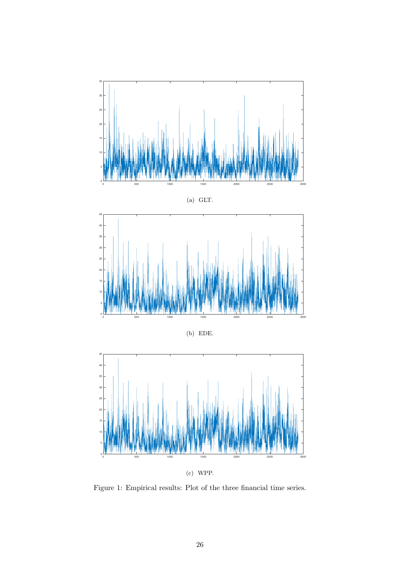









(c) WPP.

Figure 1: Empirical results: Plot of the three financial time series.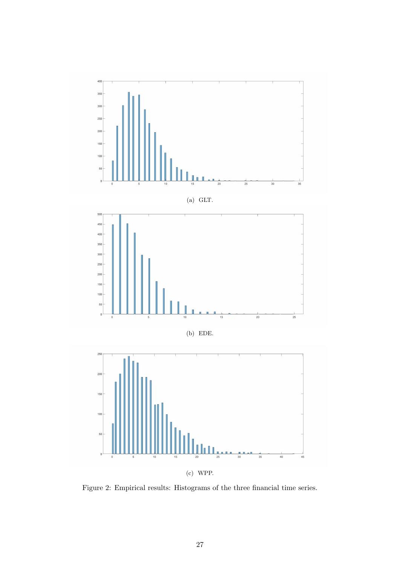

(c) WPP.

Figure 2: Empirical results: Histograms of the three financial time series.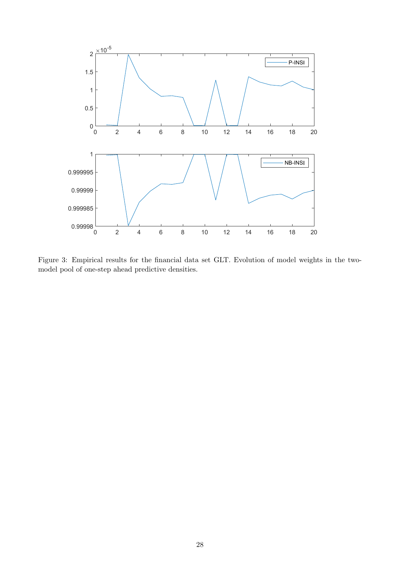

Figure 3: Empirical results for the financial data set GLT. Evolution of model weights in the twomodel pool of one-step ahead predictive densities.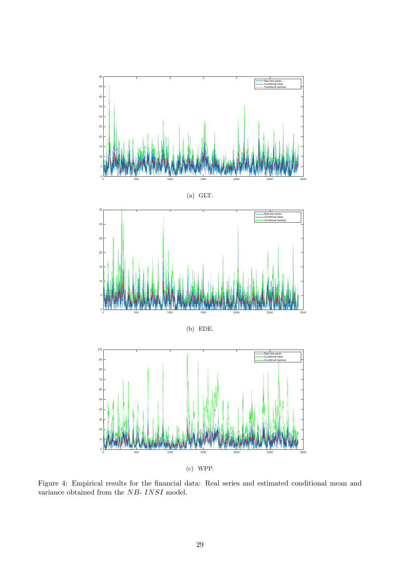

(c) WPP.

Figure 4: Empirical results for the financial data: Real series and estimated conditional mean and variance obtained from the  $NB\mbox{-}{\it INSI}$  model.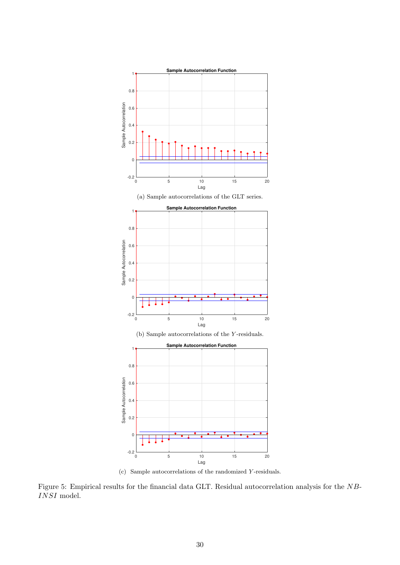

(c) Sample autocorrelations of the randomized Y -residuals.

Figure 5: Empirical results for the financial data GLT. Residual autocorrelation analysis for the NB-INSI model.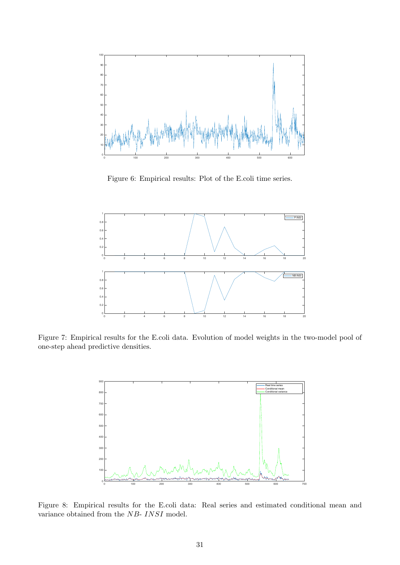

Figure 6: Empirical results: Plot of the E.coli time series.



Figure 7: Empirical results for the E.coli data. Evolution of model weights in the two-model pool of one-step ahead predictive densities.



Figure 8: Empirical results for the E.coli data: Real series and estimated conditional mean and variance obtained from the  ${\it NB\text{-}INSI}$  model.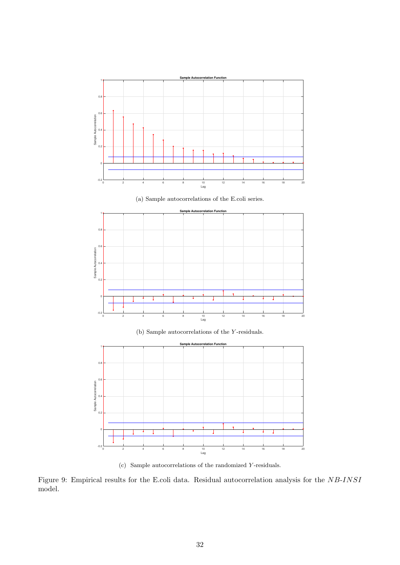

(c) Sample autocorrelations of the randomized Y -residuals.

Figure 9: Empirical results for the E.coli data. Residual autocorrelation analysis for the NB-INSI model.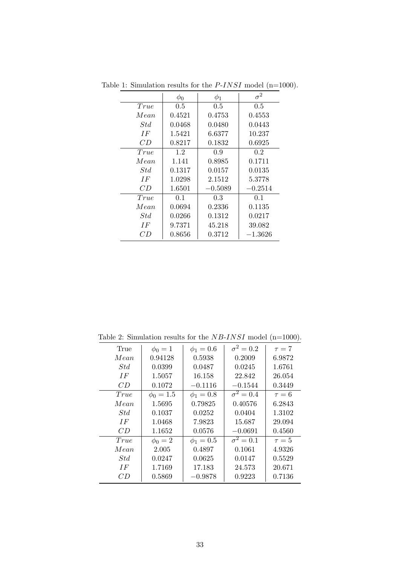|      | $\phi_0$ | $\phi_1$  | $\sigma^2$ |
|------|----------|-----------|------------|
| True | 0.5      | 0.5       | 0.5        |
| Mean | 0.4521   | 0.4753    | 0.4553     |
| Std  | 0.0468   | 0.0480    | 0.0443     |
| IF   | 1.5421   | 6.6377    | 10.237     |
| CD   | 0.8217   | 0.1832    | 0.6925     |
| True | 1.2      | 0.9       | 0.2        |
| Mean | 1.141    | 0.8985    | 0.1711     |
| Std  | 0.1317   | 0.0157    | 0.0135     |
| IF   | 1.0298   | 2.1512    | 5.3778     |
| CD   | 1.6501   | $-0.5089$ | $-0.2514$  |
| True | 0.1      | 0.3       | 0.1        |
| Mean | 0.0694   | 0.2336    | 0.1135     |
| Std  | 0.0266   | 0.1312    | 0.0217     |
| IF   | 9.7371   | 45.218    | 39.082     |
| CD   | 0.8656   | 0.3712    | $-1.3626$  |

Table 1: Simulation results for the  $P{\text -}INSI$  model (n=1000).

Table 2: Simulation results for the  $NB\text{-}INSI$  model (n=1000).

| True | $\phi_0 = 1$   | $\phi_1 = 0.6$ | $\sigma^2=0.2$ | $\tau = 7$ |
|------|----------------|----------------|----------------|------------|
| Mean | 0.94128        | 0.5938         | 0.2009         | 6.9872     |
| Std  | 0.0399         | 0.0487         | 0.0245         | 1.6761     |
| IF   | 1.5057         | 16.158         | 22.842         | 26.054     |
| CD   | 0.1072         | $-0.1116$      | $-0.1544$      | 0.3449     |
| True | $\phi_0 = 1.5$ | $\phi_1 = 0.8$ | $\sigma^2=0.4$ | $\tau = 6$ |
| Mean | 1.5695         | 0.79825        | 0.40576        | 6.2843     |
| Std  | 0.1037         | 0.0252         | 0.0404         | 1.3102     |
| IF   | 1.0468         | 7.9823         | 15.687         | 29.094     |
| CD   | 1.1652         | 0.0576         | $-0.0691$      | 0.4560     |
| True | $\phi_0 = 2$   | $\phi_1 = 0.5$ | $\sigma^2=0.1$ | $\tau=5$   |
| Mean | 2.005          | 0.4897         | 0.1061         | 4.9326     |
| Std  | 0.0247         | 0.0625         | 0.0147         | 0.5529     |
| IF   | 1.7169         | 17.183         | 24.573         | 20.671     |
| СĐ   | 0.5869         | $-0.9878$      | 0.9223         | 0.7136     |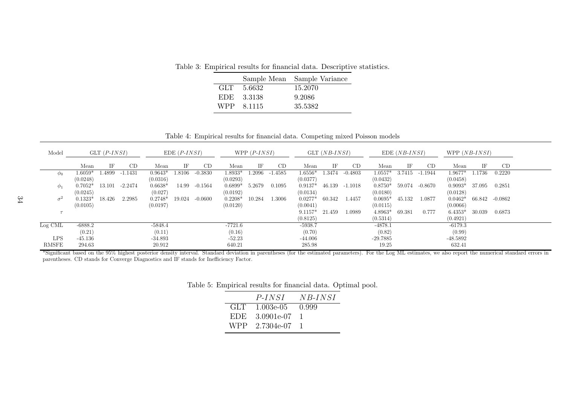Table 3: Empirical results for financial data. Descriptive statistics.

|  |              | Sample Mean Sample Variance |
|--|--------------|-----------------------------|
|  | $GLT$ 5.6632 | 15.2070                     |
|  | EDE 3.3138   | 9.2086                      |
|  | WPP 8.1115   | 35.5382                     |
|  |              |                             |

Table 4: Empirical results for financial data. Competing mixed Poisson models

| Model        |              | $GLT$ ( <i>P-INSI</i> ) |         |           | $EDE(P-INSI)$ |           |           | WPP $(P{\text -}INSI)$ |         |           | $GLT (NB-INSI)$ |           |            | $EDE(NB-INSI)$ |           | WPP $(NB{\text -}INSI)$ |        |           |  |
|--------------|--------------|-------------------------|---------|-----------|---------------|-----------|-----------|------------------------|---------|-----------|-----------------|-----------|------------|----------------|-----------|-------------------------|--------|-----------|--|
|              | Mean         | IF                      | CD      | Mean      | ΙF            | CD        | Mean      | ΙF                     | CD      | Mean      | ΙF              | <b>CD</b> | Mean       | IF             | CD        | Mean                    | ΙF     | CD        |  |
| $\varphi_0$  | $1.6059^{*}$ | .4899                   | -1.1431 | $0.9643*$ | $1.8106\,$    | $-0.3830$ | 1.8933*   | .2096                  | -1.4585 | $1.6556*$ | 1.3474          | $-0.4803$ | $1.0557*$  | 3.7415         | -1.1944   | $1.9677*$               | .1736  | 0.2220    |  |
|              | (0.0248)     |                         |         | (0.0316)  |               |           | (0.0293)  |                        |         | (0.0377)  |                 |           | (0.0432)   |                |           | (0.0458)                |        |           |  |
| $\varphi_1$  | $0.7052*$    | 13.101                  | -2.2474 | $0.6638*$ | 14.99         | $-0.1564$ | $0.6899*$ | 5.2679                 | 0.1095  | $0.9137*$ | 46.139          | $-1.1018$ | $0.8750*$  | 59.074         | $-0.8670$ | $0.9093*$               | 37.095 | 0.2851    |  |
|              | (0.0245)     |                         |         | (0.027)   |               |           | (0.0192)  |                        |         | (0.0134)  |                 |           | (0.0180)   |                |           | (0.0128)                |        |           |  |
| $\sigma^2$   | $0.1323*$    | 18.426                  | 2.2985  | $0.2748*$ | 19.024        | $-0.0600$ | $0.2208*$ | 10.284                 | 1.3006  | $0.0277*$ | 60.342          | 1.4457    | $0.0695*$  | 45.132         | 1.0877    | $0.0462*$               | 66.842 | $-0.0862$ |  |
|              | (0.0105)     |                         |         | (0.0197)  |               |           | (0.0120)  |                        |         | (0.0041)  |                 |           | (0.0115)   |                |           | (0.0066)                |        |           |  |
|              |              |                         |         |           |               |           |           |                        |         | $9.1157*$ | 21.459          | 1.0989    | $4.8963*$  | 69.381         | 0.777     | $6.4353*$               | 30.039 | 0.6873    |  |
|              |              |                         |         |           |               |           |           |                        |         | (0.8125)  |                 |           | (0.5314)   |                |           | (0.4921)                |        |           |  |
| Log CML      | $-6888.2$    |                         |         | $-5848.4$ |               |           | -7721.6   |                        |         | $-5938.7$ |                 |           | $-4878.1$  |                |           | $-6179.3$               |        |           |  |
|              | (0.21)       |                         |         | (0.11)    |               |           | (0.16)    |                        |         | (0.70)    |                 |           | (0.82)     |                |           | (0.99)                  |        |           |  |
| <b>LPS</b>   | $-45.136$    |                         |         | -34.893   |               |           | $-52.23$  |                        |         | $-44.006$ |                 |           | $-29.7885$ |                |           | -48.5892                |        |           |  |
| <b>RMSFE</b> | 294.63       |                         |         | 20.912    |               |           | 640.21    |                        |         | 285.98    |                 |           | 19.25      |                |           | 632.41                  |        |           |  |

 $*$ Significant based on the 95% highest posterior density interval. Standard deviation in parentheses (for the estimated parameters). For the Log ML estimates, we also report the numerical standard errors in parentheses. CD stands for Converge Diagnostics and IF stands for Inefficiency Factor.

|      | $P{\text -}INSI$ | NB-INSI |
|------|------------------|---------|
| GLT. | -1.003e-05 -     | 0.999   |
| EDE. | 3.0901e-07       |         |
|      | WPP 2.7304e-07   |         |

Table 5: Empirical results for financial data. Optimal pool.